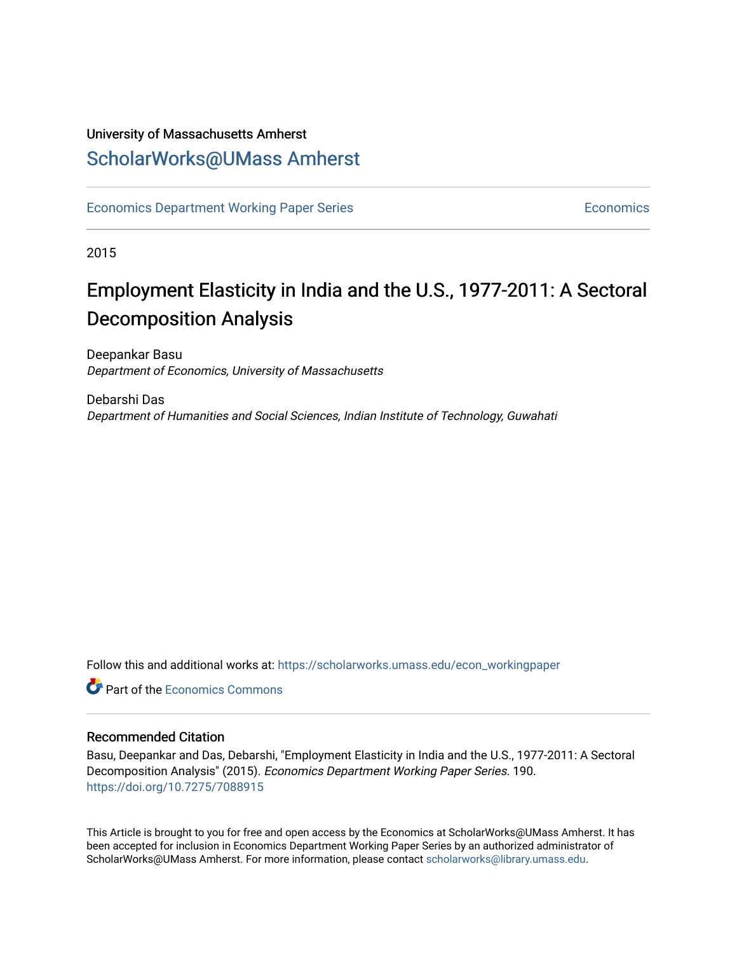### University of Massachusetts Amherst [ScholarWorks@UMass Amherst](https://scholarworks.umass.edu/)

[Economics Department Working Paper Series](https://scholarworks.umass.edu/econ_workingpaper) **Economics** [Economics](https://scholarworks.umass.edu/economics) Economics

2015

## Employment Elasticity in India and the U.S., 1977-2011: A Sectoral Decomposition Analysis

Deepankar Basu Department of Economics, University of Massachusetts

Debarshi Das Department of Humanities and Social Sciences, Indian Institute of Technology, Guwahati

Follow this and additional works at: [https://scholarworks.umass.edu/econ\\_workingpaper](https://scholarworks.umass.edu/econ_workingpaper?utm_source=scholarworks.umass.edu%2Fecon_workingpaper%2F190&utm_medium=PDF&utm_campaign=PDFCoverPages) 

**Part of the [Economics Commons](http://network.bepress.com/hgg/discipline/340?utm_source=scholarworks.umass.edu%2Fecon_workingpaper%2F190&utm_medium=PDF&utm_campaign=PDFCoverPages)** 

#### Recommended Citation

Basu, Deepankar and Das, Debarshi, "Employment Elasticity in India and the U.S., 1977-2011: A Sectoral Decomposition Analysis" (2015). Economics Department Working Paper Series. 190. <https://doi.org/10.7275/7088915>

This Article is brought to you for free and open access by the Economics at ScholarWorks@UMass Amherst. It has been accepted for inclusion in Economics Department Working Paper Series by an authorized administrator of ScholarWorks@UMass Amherst. For more information, please contact [scholarworks@library.umass.edu.](mailto:scholarworks@library.umass.edu)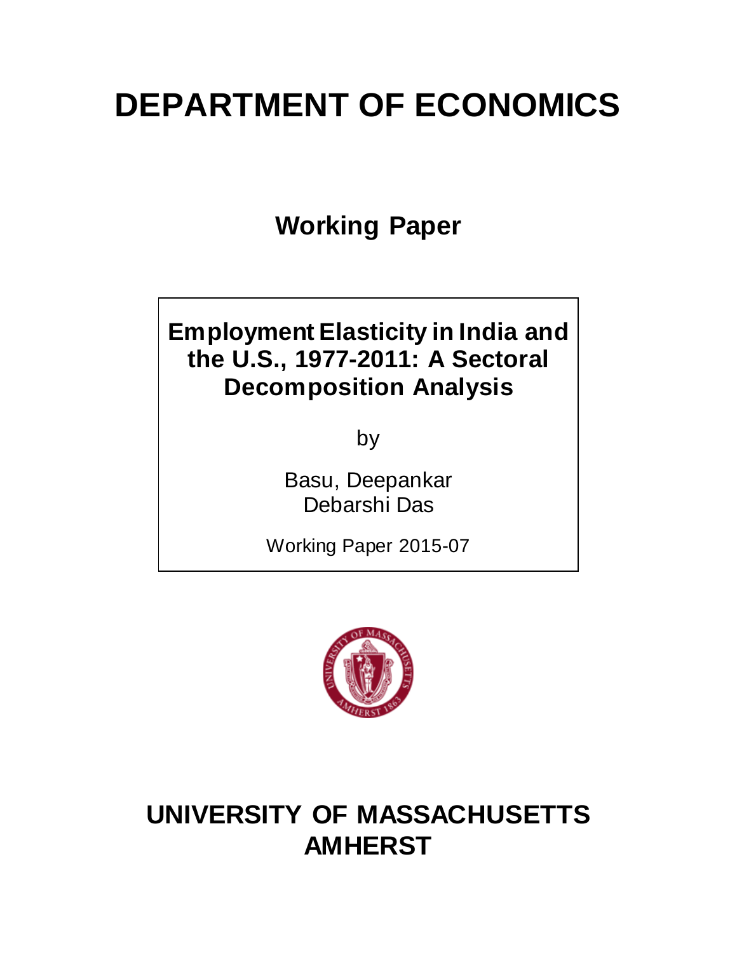# **DEPARTMENT OF ECONOMICS**

**Working Paper**

# **Employment Elasticity in India and the U.S., 1977-2011: A Sectoral Decomposition Analysis**

by

Basu, Deepankar Debarshi Das

Working Paper 2015-07



# **UNIVERSITY OF MASSACHUSETTS AMHERST**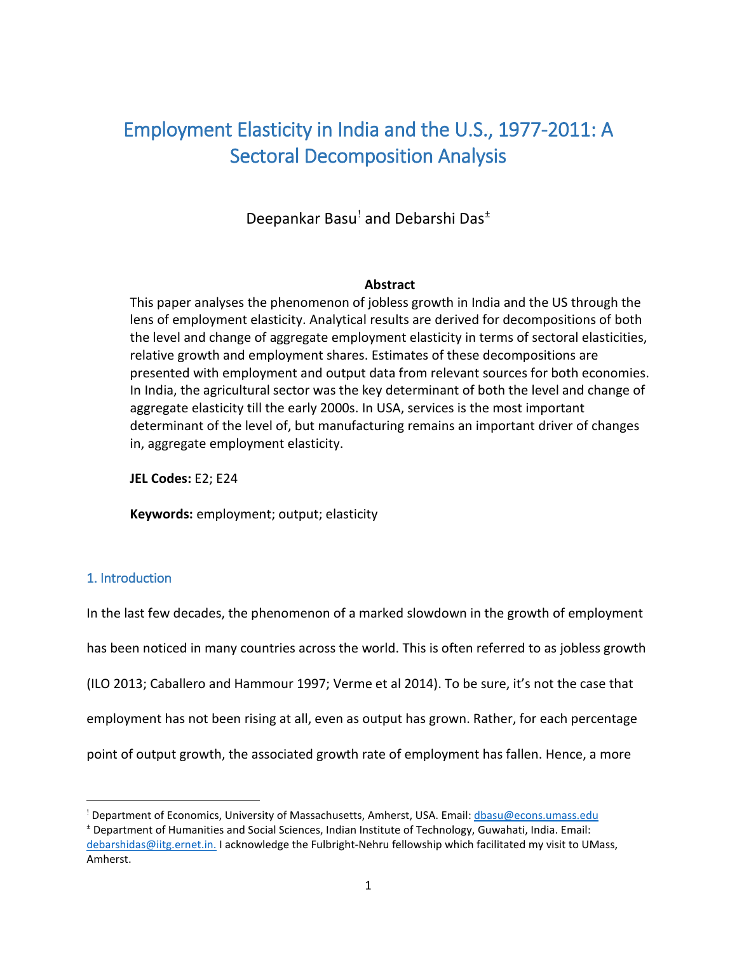### Employment Elasticity in India and the U.S., 1977-2011: A Sectoral Decomposition Analysis

Deepankar Basu[!](#page-2-0) and Debarshi Das[±](#page-2-1)

#### **Abstract**

This paper analyses the phenomenon of jobless growth in India and the US through the lens of employment elasticity. Analytical results are derived for decompositions of both the level and change of aggregate employment elasticity in terms of sectoral elasticities, relative growth and employment shares. Estimates of these decompositions are presented with employment and output data from relevant sources for both economies. In India, the agricultural sector was the key determinant of both the level and change of aggregate elasticity till the early 2000s. In USA, services is the most important determinant of the level of, but manufacturing remains an important driver of changes in, aggregate employment elasticity.

**JEL Codes:** E2; E24

**Keywords:** employment; output; elasticity

#### 1. Introduction

l

In the last few decades, the phenomenon of a marked slowdown in the growth of employment has been noticed in many countries across the world. This is often referred to as jobless growth (ILO 2013; Caballero and Hammour 1997; Verme et al 2014). To be sure, it's not the case that employment has not been rising at all, even as output has grown. Rather, for each percentage point of output growth, the associated growth rate of employment has fallen. Hence, a more

<span id="page-2-0"></span><sup>!</sup> Department of Economics, University of Massachusetts, Amherst, USA. Email: dbasu@econs.umass.edu

<span id="page-2-1"></span><sup>±</sup> Department of Humanities and Social Sciences, Indian Institute of Technology, Guwahati, India. Email: debarshidas@iitg.ernet.in. I acknowledge the Fulbright-Nehru fellowship which facilitated my visit to UMass, Amherst.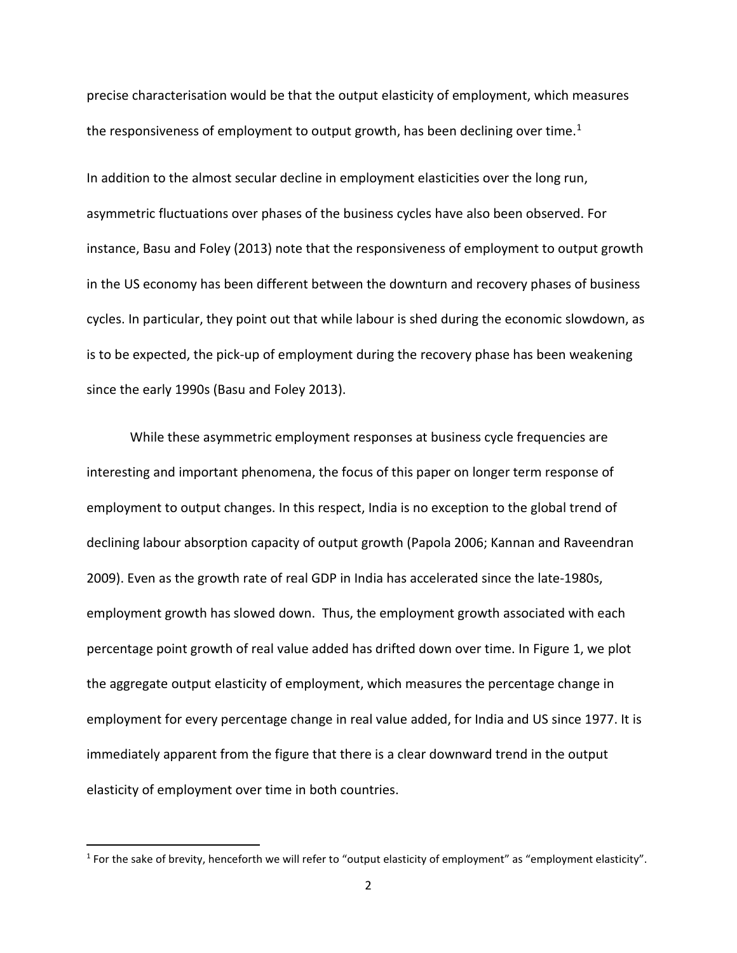precise characterisation would be that the output elasticity of employment, which measures the responsiveness of employment to output growth, has been declining over time.<sup>[1](#page-3-0)</sup>

In addition to the almost secular decline in employment elasticities over the long run, asymmetric fluctuations over phases of the business cycles have also been observed. For instance, Basu and Foley (2013) note that the responsiveness of employment to output growth in the US economy has been different between the downturn and recovery phases of business cycles. In particular, they point out that while labour is shed during the economic slowdown, as is to be expected, the pick-up of employment during the recovery phase has been weakening since the early 1990s (Basu and Foley 2013).

While these asymmetric employment responses at business cycle frequencies are interesting and important phenomena, the focus of this paper on longer term response of employment to output changes. In this respect, India is no exception to the global trend of declining labour absorption capacity of output growth (Papola 2006; Kannan and Raveendran 2009). Even as the growth rate of real GDP in India has accelerated since the late-1980s, employment growth has slowed down. Thus, the employment growth associated with each percentage point growth of real value added has drifted down over time. In Figure 1, we plot the aggregate output elasticity of employment, which measures the percentage change in employment for every percentage change in real value added, for India and US since 1977. It is immediately apparent from the figure that there is a clear downward trend in the output elasticity of employment over time in both countries.

l

<span id="page-3-0"></span> $1$  For the sake of brevity, henceforth we will refer to "output elasticity of employment" as "employment elasticity".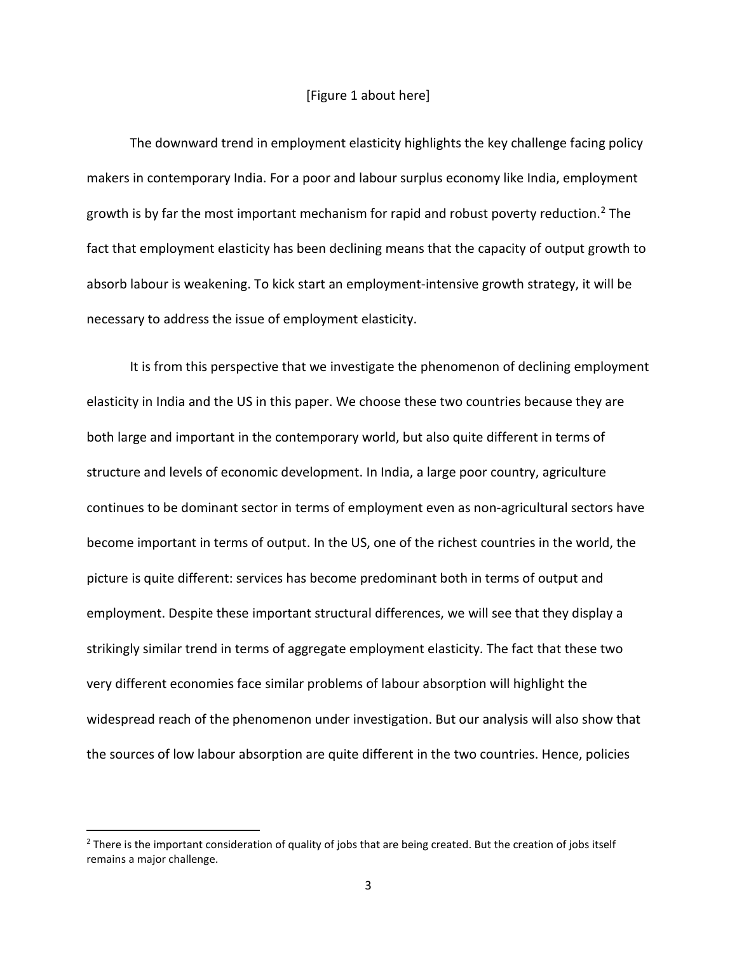#### [Figure 1 about here]

The downward trend in employment elasticity highlights the key challenge facing policy makers in contemporary India. For a poor and labour surplus economy like India, employment growth is by far the most important mechanism for rapid and robust poverty reduction.<sup>[2](#page-4-0)</sup> The fact that employment elasticity has been declining means that the capacity of output growth to absorb labour is weakening. To kick start an employment-intensive growth strategy, it will be necessary to address the issue of employment elasticity.

It is from this perspective that we investigate the phenomenon of declining employment elasticity in India and the US in this paper. We choose these two countries because they are both large and important in the contemporary world, but also quite different in terms of structure and levels of economic development. In India, a large poor country, agriculture continues to be dominant sector in terms of employment even as non-agricultural sectors have become important in terms of output. In the US, one of the richest countries in the world, the picture is quite different: services has become predominant both in terms of output and employment. Despite these important structural differences, we will see that they display a strikingly similar trend in terms of aggregate employment elasticity. The fact that these two very different economies face similar problems of labour absorption will highlight the widespread reach of the phenomenon under investigation. But our analysis will also show that the sources of low labour absorption are quite different in the two countries. Hence, policies

 $\overline{\phantom{a}}$ 

<span id="page-4-0"></span><sup>&</sup>lt;sup>2</sup> There is the important consideration of quality of jobs that are being created. But the creation of jobs itself remains a major challenge.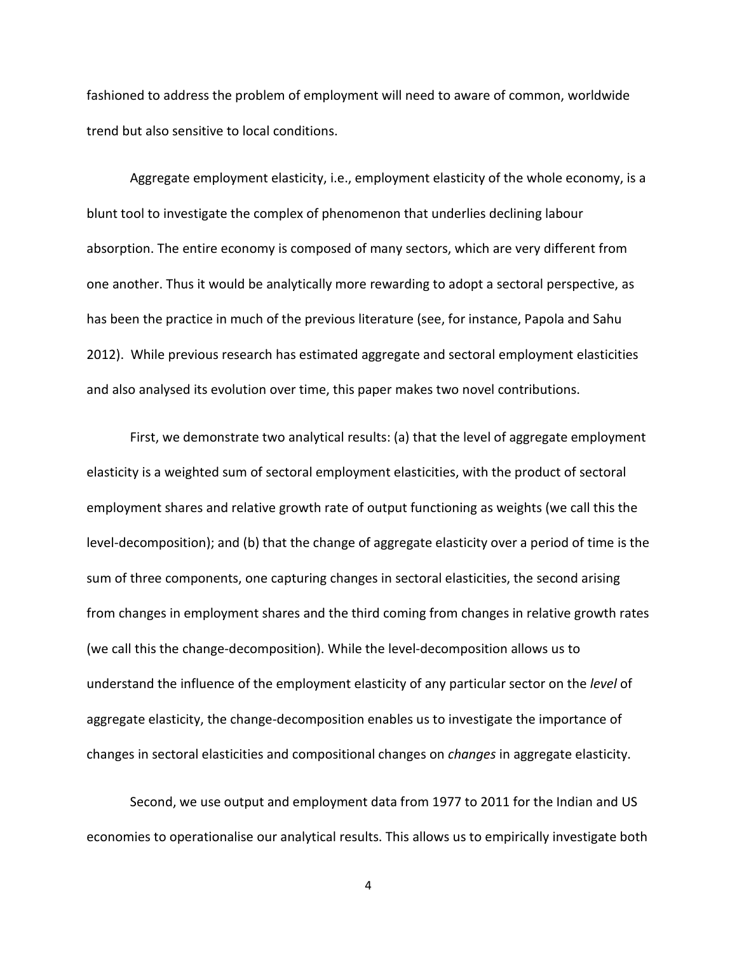fashioned to address the problem of employment will need to aware of common, worldwide trend but also sensitive to local conditions.

Aggregate employment elasticity, i.e., employment elasticity of the whole economy, is a blunt tool to investigate the complex of phenomenon that underlies declining labour absorption. The entire economy is composed of many sectors, which are very different from one another. Thus it would be analytically more rewarding to adopt a sectoral perspective, as has been the practice in much of the previous literature (see, for instance, Papola and Sahu 2012). While previous research has estimated aggregate and sectoral employment elasticities and also analysed its evolution over time, this paper makes two novel contributions.

First, we demonstrate two analytical results: (a) that the level of aggregate employment elasticity is a weighted sum of sectoral employment elasticities, with the product of sectoral employment shares and relative growth rate of output functioning as weights (we call this the level-decomposition); and (b) that the change of aggregate elasticity over a period of time is the sum of three components, one capturing changes in sectoral elasticities, the second arising from changes in employment shares and the third coming from changes in relative growth rates (we call this the change-decomposition). While the level-decomposition allows us to understand the influence of the employment elasticity of any particular sector on the *level* of aggregate elasticity, the change-decomposition enables us to investigate the importance of changes in sectoral elasticities and compositional changes on *changes* in aggregate elasticity.

Second, we use output and employment data from 1977 to 2011 for the Indian and US economies to operationalise our analytical results. This allows us to empirically investigate both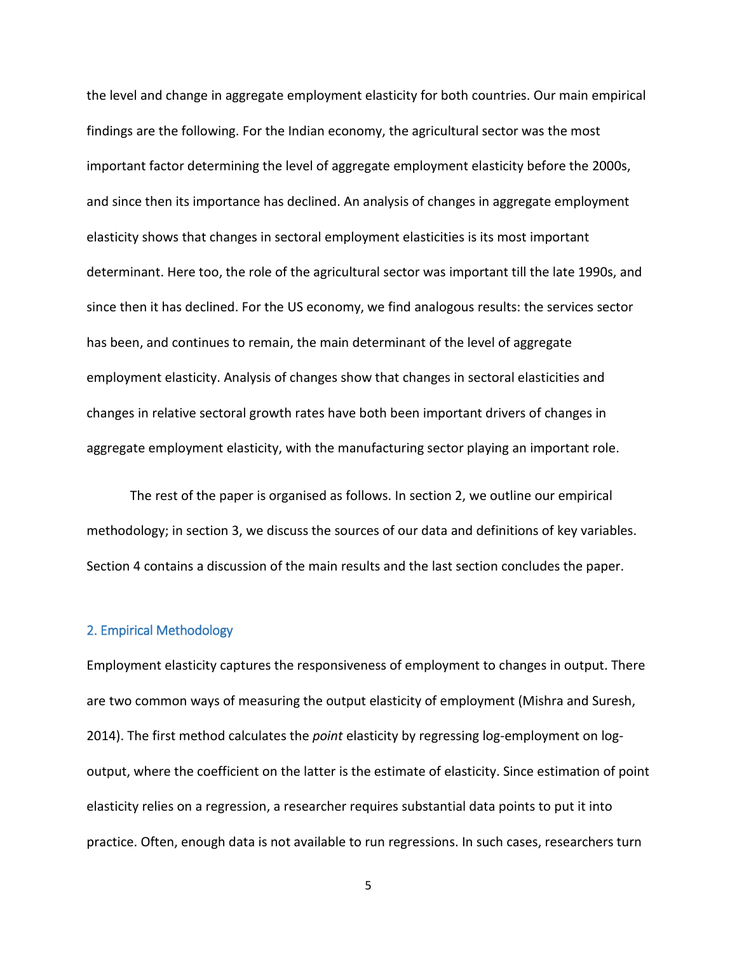the level and change in aggregate employment elasticity for both countries. Our main empirical findings are the following. For the Indian economy, the agricultural sector was the most important factor determining the level of aggregate employment elasticity before the 2000s, and since then its importance has declined. An analysis of changes in aggregate employment elasticity shows that changes in sectoral employment elasticities is its most important determinant. Here too, the role of the agricultural sector was important till the late 1990s, and since then it has declined. For the US economy, we find analogous results: the services sector has been, and continues to remain, the main determinant of the level of aggregate employment elasticity. Analysis of changes show that changes in sectoral elasticities and changes in relative sectoral growth rates have both been important drivers of changes in aggregate employment elasticity, with the manufacturing sector playing an important role.

The rest of the paper is organised as follows. In section 2, we outline our empirical methodology; in section 3, we discuss the sources of our data and definitions of key variables. Section 4 contains a discussion of the main results and the last section concludes the paper.

#### 2. Empirical Methodology

Employment elasticity captures the responsiveness of employment to changes in output. There are two common ways of measuring the output elasticity of employment (Mishra and Suresh, 2014). The first method calculates the *point* elasticity by regressing log-employment on logoutput, where the coefficient on the latter is the estimate of elasticity. Since estimation of point elasticity relies on a regression, a researcher requires substantial data points to put it into practice. Often, enough data is not available to run regressions. In such cases, researchers turn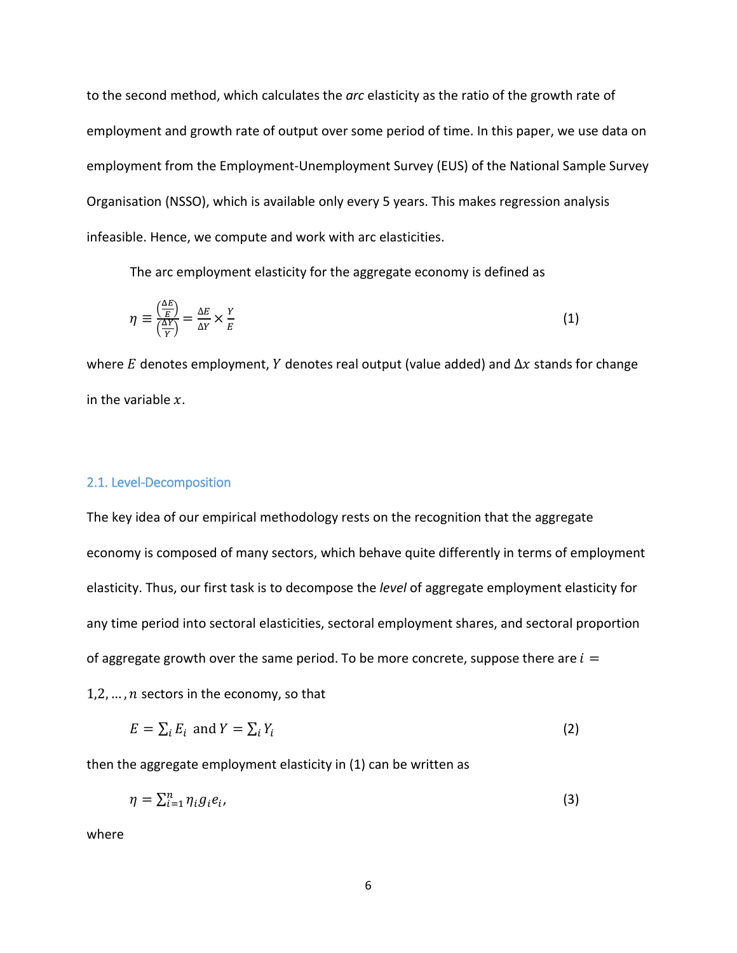to the second method, which calculates the *arc* elasticity as the ratio of the growth rate of employment and growth rate of output over some period of time. In this paper, we use data on employment from the Employment-Unemployment Survey (EUS) of the National Sample Survey Organisation (NSSO), which is available only every 5 years. This makes regression analysis infeasible. Hence, we compute and work with arc elasticities.

The arc employment elasticity for the aggregate economy is defined as

$$
\eta \equiv \frac{\left(\frac{\Delta E}{E}\right)}{\left(\frac{\Delta Y}{Y}\right)} = \frac{\Delta E}{\Delta Y} \times \frac{Y}{E}
$$
\n(1)

where E denotes employment, Y denotes real output (value added) and  $\Delta x$  stands for change in the variable  $x$ .

#### 2.1. Level-Decomposition

The key idea of our empirical methodology rests on the recognition that the aggregate economy is composed of many sectors, which behave quite differently in terms of employment elasticity. Thus, our first task is to decompose the *level* of aggregate employment elasticity for any time period into sectoral elasticities, sectoral employment shares, and sectoral proportion of aggregate growth over the same period. To be more concrete, suppose there are  $i =$ 

1,2,  $\dots$ , *n* sectors in the economy, so that

$$
E = \sum_{i} E_i \text{ and } Y = \sum_{i} Y_i \tag{2}
$$

then the aggregate employment elasticity in (1) can be written as

$$
\eta = \sum_{i=1}^{n} \eta_i g_i e_i,\tag{3}
$$

where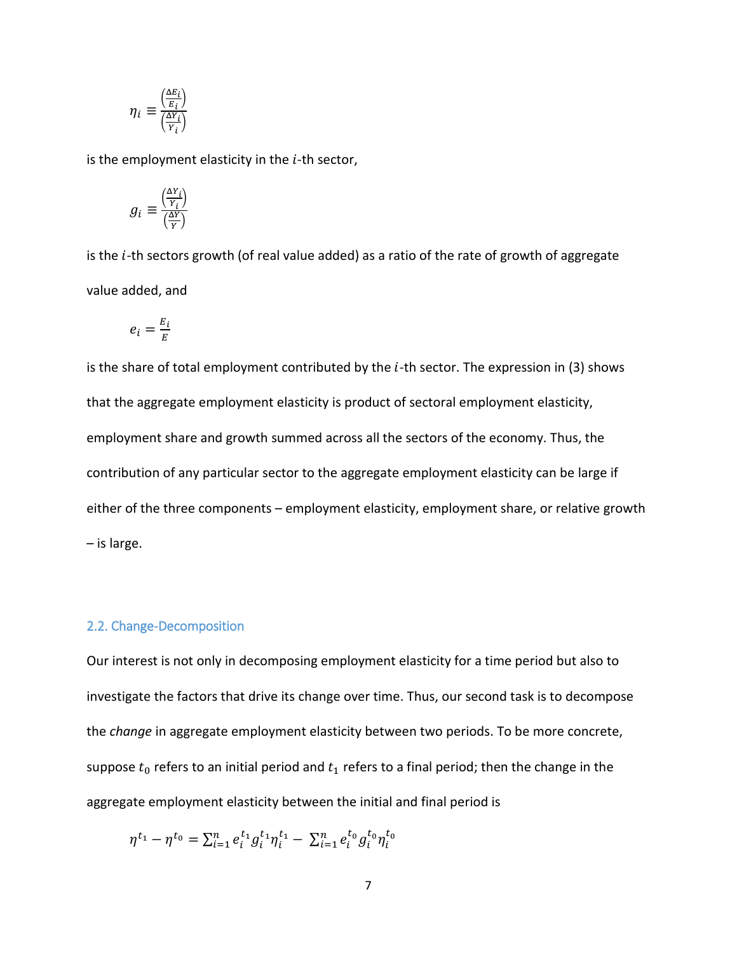$$
\eta_i \equiv \frac{\left(\frac{\Delta E_i}{E_i}\right)}{\left(\frac{\Delta Y_i}{Y_i}\right)}
$$

is the employment elasticity in the  $i$ -th sector,

$$
g_i \equiv \frac{\left(\frac{\Delta Y_i}{Y_i}\right)}{\left(\frac{\Delta Y}{Y}\right)}
$$

is the  $i$ -th sectors growth (of real value added) as a ratio of the rate of growth of aggregate value added, and

$$
e_i = \frac{E_i}{E}
$$

is the share of total employment contributed by the  $i$ -th sector. The expression in (3) shows that the aggregate employment elasticity is product of sectoral employment elasticity, employment share and growth summed across all the sectors of the economy. Thus, the contribution of any particular sector to the aggregate employment elasticity can be large if either of the three components – employment elasticity, employment share, or relative growth – is large.

#### 2.2. Change-Decomposition

Our interest is not only in decomposing employment elasticity for a time period but also to investigate the factors that drive its change over time. Thus, our second task is to decompose the *change* in aggregate employment elasticity between two periods. To be more concrete, suppose  $t_0$  refers to an initial period and  $t_1$  refers to a final period; then the change in the aggregate employment elasticity between the initial and final period is

$$
\eta^{t_1} - \eta^{t_0} = \sum_{i=1}^n e_i^{t_1} g_i^{t_1} \eta_i^{t_1} - \sum_{i=1}^n e_i^{t_0} g_i^{t_0} \eta_i^{t_0}
$$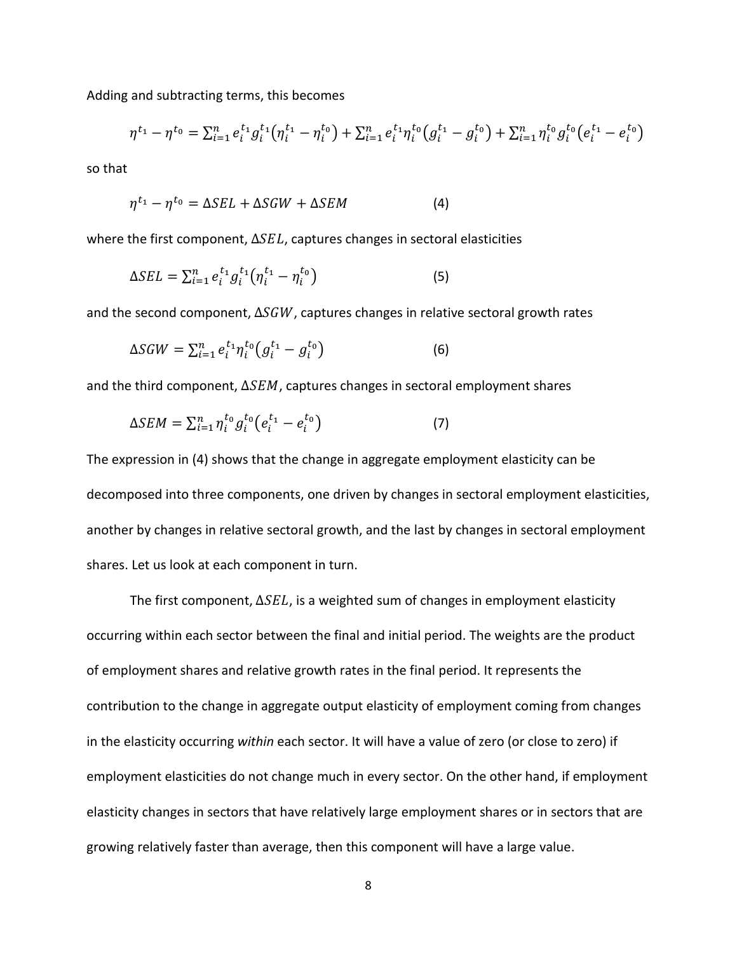Adding and subtracting terms, this becomes

$$
\eta^{t_1} - \eta^{t_0} = \sum_{i=1}^n e_i^{t_1} g_i^{t_1} (\eta_i^{t_1} - \eta_i^{t_0}) + \sum_{i=1}^n e_i^{t_1} \eta_i^{t_0} (g_i^{t_1} - g_i^{t_0}) + \sum_{i=1}^n \eta_i^{t_0} g_i^{t_0} (e_i^{t_1} - e_i^{t_0})
$$

so that

$$
\eta^{t_1} - \eta^{t_0} = \Delta SEL + \Delta SGW + \Delta SEM \tag{4}
$$

where the first component,  $\Delta SEL$ , captures changes in sectoral elasticities

$$
\Delta SEL = \sum_{i=1}^{n} e_i^{t_1} g_i^{t_1} \left( \eta_i^{t_1} - \eta_i^{t_0} \right) \tag{5}
$$

and the second component,  $\Delta SGW$ , captures changes in relative sectoral growth rates

$$
\Delta SGW = \sum_{i=1}^n e_i^{t_1} \eta_i^{t_0} \left( g_i^{t_1} - g_i^{t_0} \right) \tag{6}
$$

and the third component,  $\Delta SEM$ , captures changes in sectoral employment shares

$$
\Delta SEM = \sum_{i=1}^{n} \eta_i^{t_0} g_i^{t_0} (e_i^{t_1} - e_i^{t_0})
$$
\n(7)

The expression in (4) shows that the change in aggregate employment elasticity can be decomposed into three components, one driven by changes in sectoral employment elasticities, another by changes in relative sectoral growth, and the last by changes in sectoral employment shares. Let us look at each component in turn.

The first component,  $\Delta SEL$ , is a weighted sum of changes in employment elasticity occurring within each sector between the final and initial period. The weights are the product of employment shares and relative growth rates in the final period. It represents the contribution to the change in aggregate output elasticity of employment coming from changes in the elasticity occurring *within* each sector. It will have a value of zero (or close to zero) if employment elasticities do not change much in every sector. On the other hand, if employment elasticity changes in sectors that have relatively large employment shares or in sectors that are growing relatively faster than average, then this component will have a large value.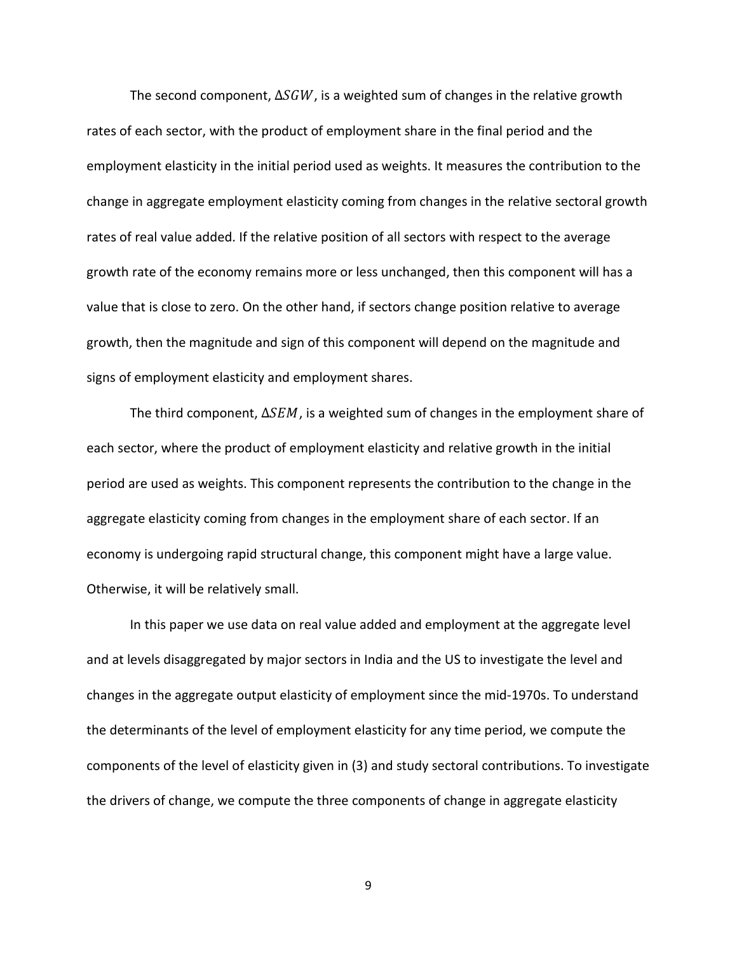The second component,  $\Delta SGW$ , is a weighted sum of changes in the relative growth rates of each sector, with the product of employment share in the final period and the employment elasticity in the initial period used as weights. It measures the contribution to the change in aggregate employment elasticity coming from changes in the relative sectoral growth rates of real value added. If the relative position of all sectors with respect to the average growth rate of the economy remains more or less unchanged, then this component will has a value that is close to zero. On the other hand, if sectors change position relative to average growth, then the magnitude and sign of this component will depend on the magnitude and signs of employment elasticity and employment shares.

The third component,  $\Delta SEM$ , is a weighted sum of changes in the employment share of each sector, where the product of employment elasticity and relative growth in the initial period are used as weights. This component represents the contribution to the change in the aggregate elasticity coming from changes in the employment share of each sector. If an economy is undergoing rapid structural change, this component might have a large value. Otherwise, it will be relatively small.

In this paper we use data on real value added and employment at the aggregate level and at levels disaggregated by major sectors in India and the US to investigate the level and changes in the aggregate output elasticity of employment since the mid-1970s. To understand the determinants of the level of employment elasticity for any time period, we compute the components of the level of elasticity given in (3) and study sectoral contributions. To investigate the drivers of change, we compute the three components of change in aggregate elasticity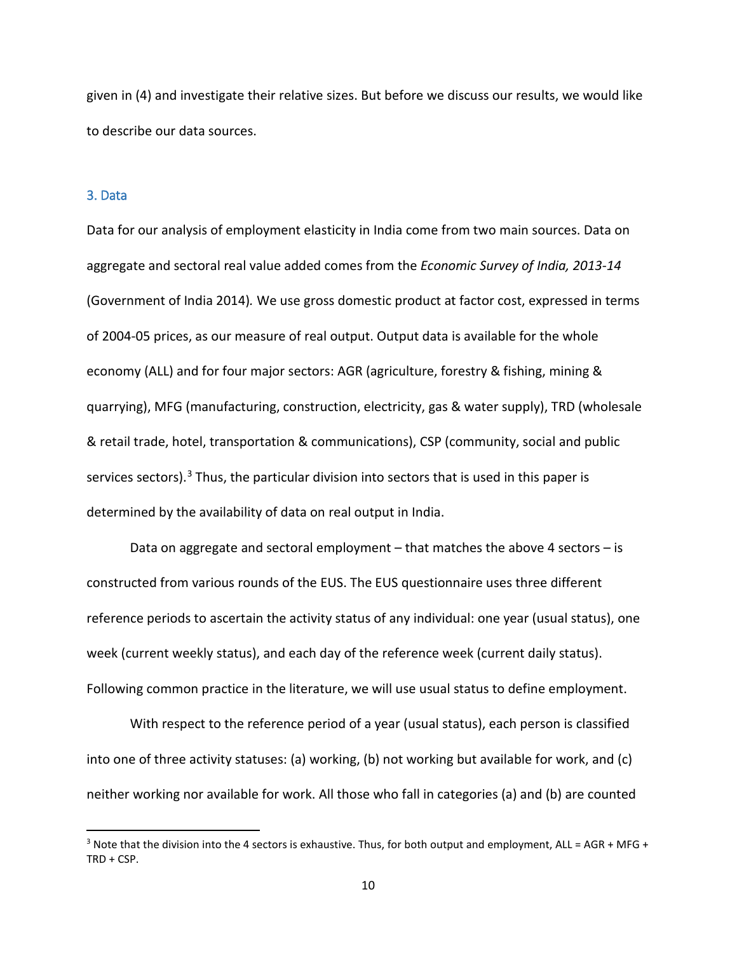given in (4) and investigate their relative sizes. But before we discuss our results, we would like to describe our data sources.

#### 3. Data

 $\overline{\phantom{a}}$ 

Data for our analysis of employment elasticity in India come from two main sources. Data on aggregate and sectoral real value added comes from the *Economic Survey of India, 2013-14* (Government of India 2014)*.* We use gross domestic product at factor cost, expressed in terms of 2004-05 prices, as our measure of real output. Output data is available for the whole economy (ALL) and for four major sectors: AGR (agriculture, forestry & fishing, mining & quarrying), MFG (manufacturing, construction, electricity, gas & water supply), TRD (wholesale & retail trade, hotel, transportation & communications), CSP (community, social and public services sectors).<sup>[3](#page-11-0)</sup> Thus, the particular division into sectors that is used in this paper is determined by the availability of data on real output in India.

Data on aggregate and sectoral employment – that matches the above 4 sectors – is constructed from various rounds of the EUS. The EUS questionnaire uses three different reference periods to ascertain the activity status of any individual: one year (usual status), one week (current weekly status), and each day of the reference week (current daily status). Following common practice in the literature, we will use usual status to define employment.

With respect to the reference period of a year (usual status), each person is classified into one of three activity statuses: (a) working, (b) not working but available for work, and (c) neither working nor available for work. All those who fall in categories (a) and (b) are counted

<span id="page-11-0"></span><sup>&</sup>lt;sup>3</sup> Note that the division into the 4 sectors is exhaustive. Thus, for both output and employment, ALL = AGR + MFG + TRD + CSP.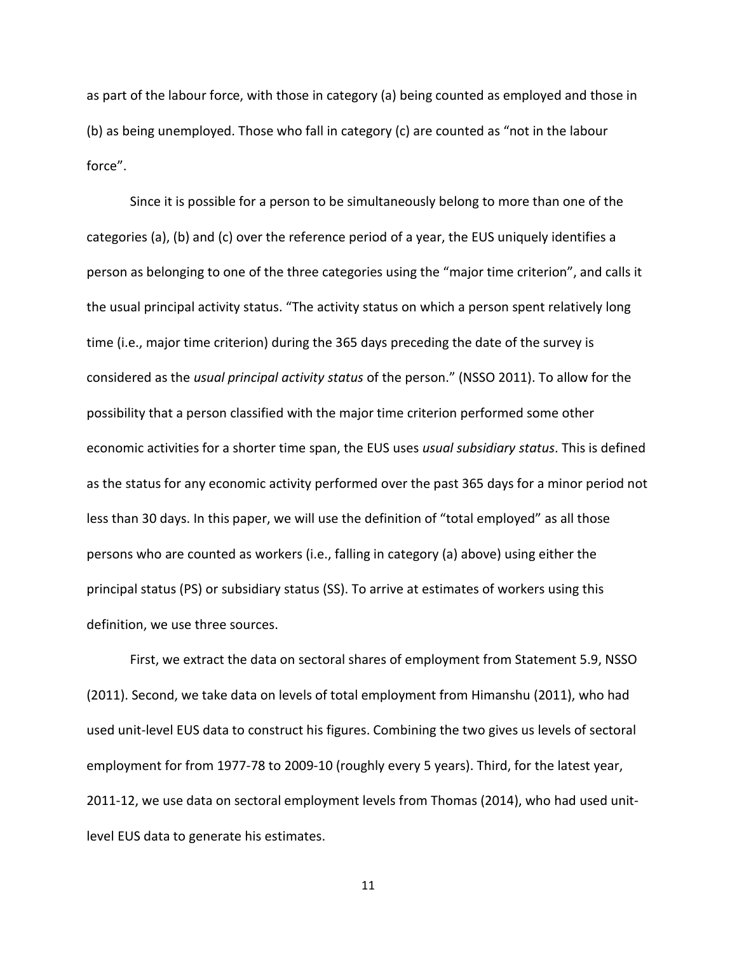as part of the labour force, with those in category (a) being counted as employed and those in (b) as being unemployed. Those who fall in category (c) are counted as "not in the labour force".

Since it is possible for a person to be simultaneously belong to more than one of the categories (a), (b) and (c) over the reference period of a year, the EUS uniquely identifies a person as belonging to one of the three categories using the "major time criterion", and calls it the usual principal activity status. "The activity status on which a person spent relatively long time (i.e., major time criterion) during the 365 days preceding the date of the survey is considered as the *usual principal activity status* of the person." (NSSO 2011). To allow for the possibility that a person classified with the major time criterion performed some other economic activities for a shorter time span, the EUS uses *usual subsidiary status*. This is defined as the status for any economic activity performed over the past 365 days for a minor period not less than 30 days. In this paper, we will use the definition of "total employed" as all those persons who are counted as workers (i.e., falling in category (a) above) using either the principal status (PS) or subsidiary status (SS). To arrive at estimates of workers using this definition, we use three sources.

First, we extract the data on sectoral shares of employment from Statement 5.9, NSSO (2011). Second, we take data on levels of total employment from Himanshu (2011), who had used unit-level EUS data to construct his figures. Combining the two gives us levels of sectoral employment for from 1977-78 to 2009-10 (roughly every 5 years). Third, for the latest year, 2011-12, we use data on sectoral employment levels from Thomas (2014), who had used unitlevel EUS data to generate his estimates.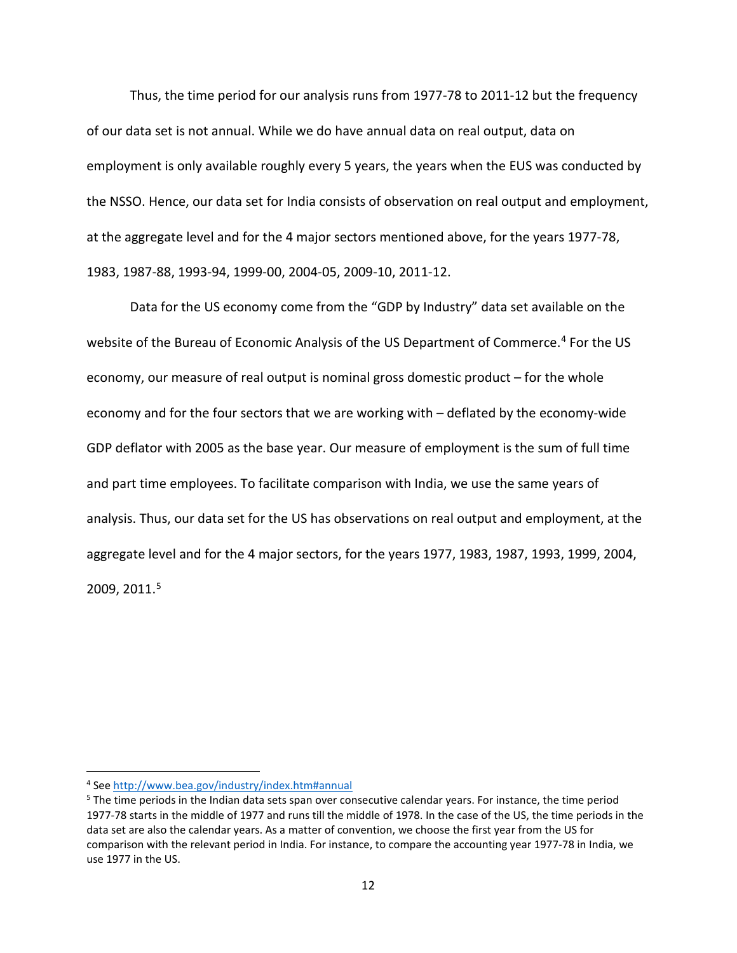Thus, the time period for our analysis runs from 1977-78 to 2011-12 but the frequency of our data set is not annual. While we do have annual data on real output, data on employment is only available roughly every 5 years, the years when the EUS was conducted by the NSSO. Hence, our data set for India consists of observation on real output and employment, at the aggregate level and for the 4 major sectors mentioned above, for the years 1977-78, 1983, 1987-88, 1993-94, 1999-00, 2004-05, 2009-10, 2011-12.

Data for the US economy come from the "GDP by Industry" data set available on the website of the Bureau of Economic Analysis of the US Department of Commerce.<sup>[4](#page-13-0)</sup> For the US economy, our measure of real output is nominal gross domestic product – for the whole economy and for the four sectors that we are working with – deflated by the economy-wide GDP deflator with 2005 as the base year. Our measure of employment is the sum of full time and part time employees. To facilitate comparison with India, we use the same years of analysis. Thus, our data set for the US has observations on real output and employment, at the aggregate level and for the 4 major sectors, for the years 1977, 1983, 1987, 1993, 1999, 2004, 2009, 2011.[5](#page-13-1)

 $\overline{\phantom{a}}$ 

<span id="page-13-0"></span><sup>4</sup> See [http://www.bea.gov/industry/index.htm#annual](http://www.bea.gov/industry/index.htm%23annual)

<span id="page-13-1"></span><sup>&</sup>lt;sup>5</sup> The time periods in the Indian data sets span over consecutive calendar years. For instance, the time period 1977-78 starts in the middle of 1977 and runs till the middle of 1978. In the case of the US, the time periods in the data set are also the calendar years. As a matter of convention, we choose the first year from the US for comparison with the relevant period in India. For instance, to compare the accounting year 1977-78 in India, we use 1977 in the US.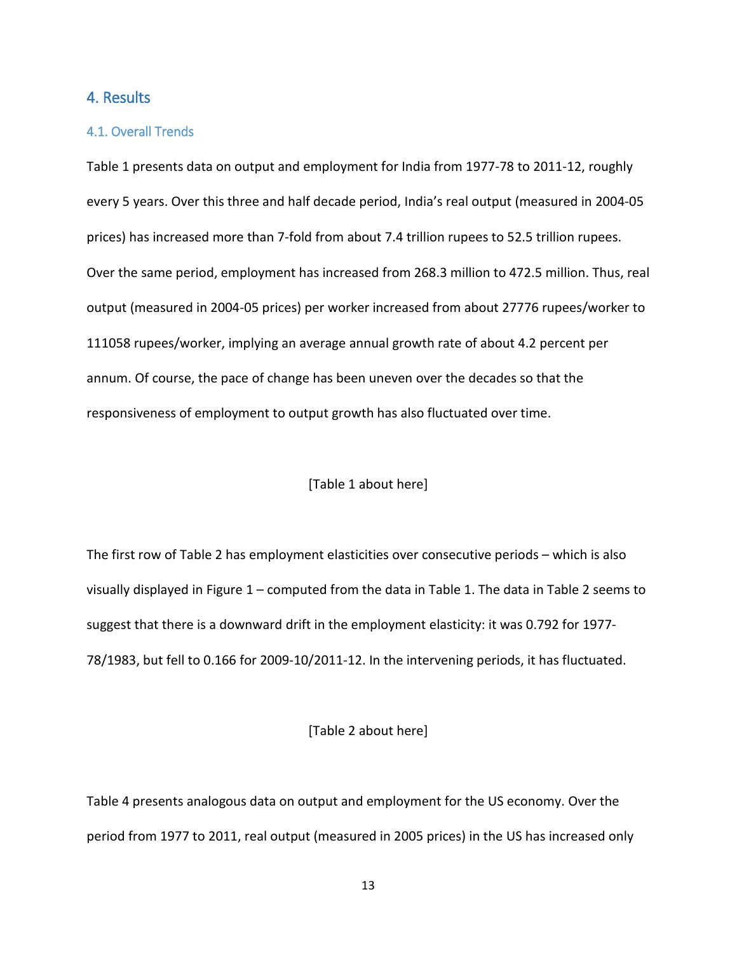#### 4. Results

#### 4.1. Overall Trends

Table 1 presents data on output and employment for India from 1977-78 to 2011-12, roughly every 5 years. Over this three and half decade period, India's real output (measured in 2004-05 prices) has increased more than 7-fold from about 7.4 trillion rupees to 52.5 trillion rupees. Over the same period, employment has increased from 268.3 million to 472.5 million. Thus, real output (measured in 2004-05 prices) per worker increased from about 27776 rupees/worker to 111058 rupees/worker, implying an average annual growth rate of about 4.2 percent per annum. Of course, the pace of change has been uneven over the decades so that the responsiveness of employment to output growth has also fluctuated over time.

#### [Table 1 about here]

The first row of Table 2 has employment elasticities over consecutive periods – which is also visually displayed in Figure 1 – computed from the data in Table 1. The data in Table 2 seems to suggest that there is a downward drift in the employment elasticity: it was 0.792 for 1977- 78/1983, but fell to 0.166 for 2009-10/2011-12. In the intervening periods, it has fluctuated.

#### [Table 2 about here]

Table 4 presents analogous data on output and employment for the US economy. Over the period from 1977 to 2011, real output (measured in 2005 prices) in the US has increased only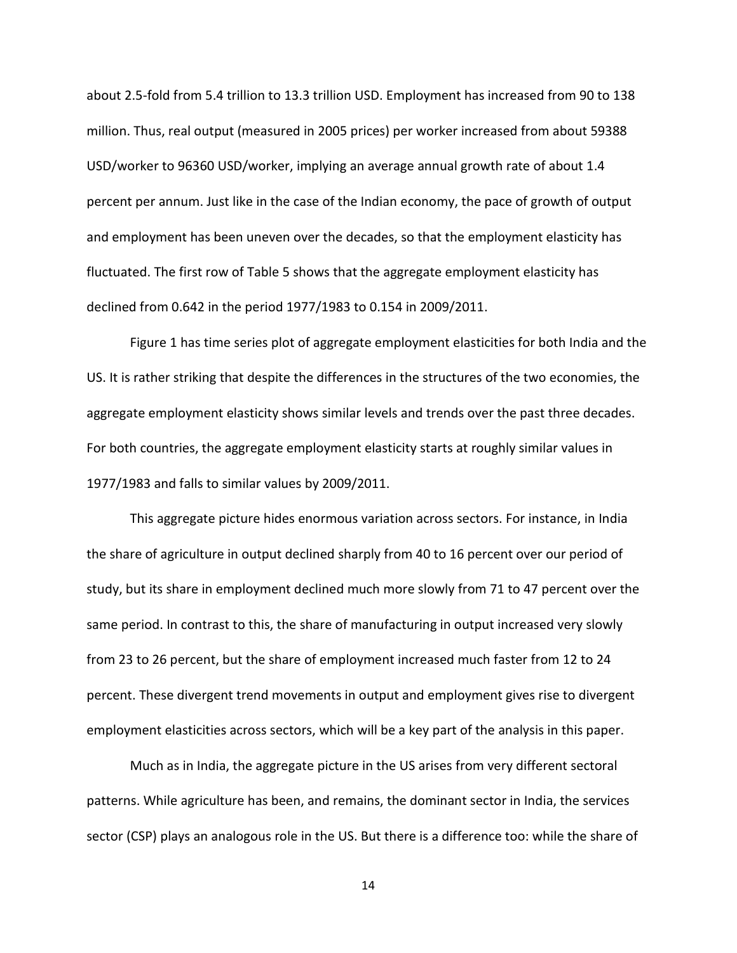about 2.5-fold from 5.4 trillion to 13.3 trillion USD. Employment has increased from 90 to 138 million. Thus, real output (measured in 2005 prices) per worker increased from about 59388 USD/worker to 96360 USD/worker, implying an average annual growth rate of about 1.4 percent per annum. Just like in the case of the Indian economy, the pace of growth of output and employment has been uneven over the decades, so that the employment elasticity has fluctuated. The first row of Table 5 shows that the aggregate employment elasticity has declined from 0.642 in the period 1977/1983 to 0.154 in 2009/2011.

Figure 1 has time series plot of aggregate employment elasticities for both India and the US. It is rather striking that despite the differences in the structures of the two economies, the aggregate employment elasticity shows similar levels and trends over the past three decades. For both countries, the aggregate employment elasticity starts at roughly similar values in 1977/1983 and falls to similar values by 2009/2011.

This aggregate picture hides enormous variation across sectors. For instance, in India the share of agriculture in output declined sharply from 40 to 16 percent over our period of study, but its share in employment declined much more slowly from 71 to 47 percent over the same period. In contrast to this, the share of manufacturing in output increased very slowly from 23 to 26 percent, but the share of employment increased much faster from 12 to 24 percent. These divergent trend movements in output and employment gives rise to divergent employment elasticities across sectors, which will be a key part of the analysis in this paper.

Much as in India, the aggregate picture in the US arises from very different sectoral patterns. While agriculture has been, and remains, the dominant sector in India, the services sector (CSP) plays an analogous role in the US. But there is a difference too: while the share of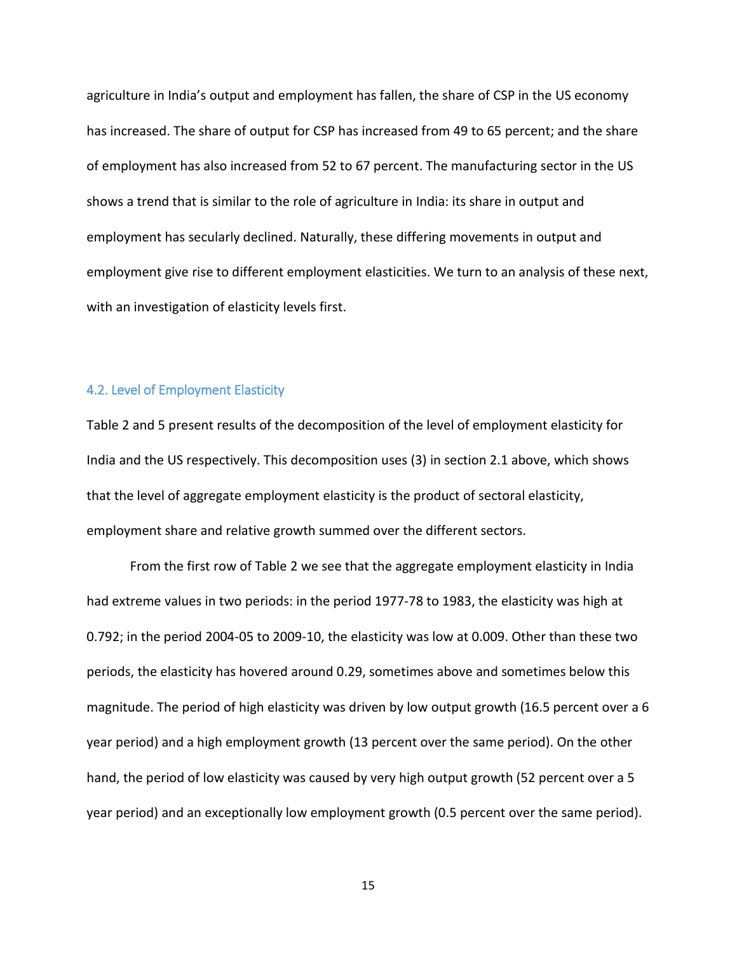agriculture in India's output and employment has fallen, the share of CSP in the US economy has increased. The share of output for CSP has increased from 49 to 65 percent; and the share of employment has also increased from 52 to 67 percent. The manufacturing sector in the US shows a trend that is similar to the role of agriculture in India: its share in output and employment has secularly declined. Naturally, these differing movements in output and employment give rise to different employment elasticities. We turn to an analysis of these next, with an investigation of elasticity levels first.

#### 4.2. Level of Employment Elasticity

Table 2 and 5 present results of the decomposition of the level of employment elasticity for India and the US respectively. This decomposition uses (3) in section 2.1 above, which shows that the level of aggregate employment elasticity is the product of sectoral elasticity, employment share and relative growth summed over the different sectors.

From the first row of Table 2 we see that the aggregate employment elasticity in India had extreme values in two periods: in the period 1977-78 to 1983, the elasticity was high at 0.792; in the period 2004-05 to 2009-10, the elasticity was low at 0.009. Other than these two periods, the elasticity has hovered around 0.29, sometimes above and sometimes below this magnitude. The period of high elasticity was driven by low output growth (16.5 percent over a 6 year period) and a high employment growth (13 percent over the same period). On the other hand, the period of low elasticity was caused by very high output growth (52 percent over a 5 year period) and an exceptionally low employment growth (0.5 percent over the same period).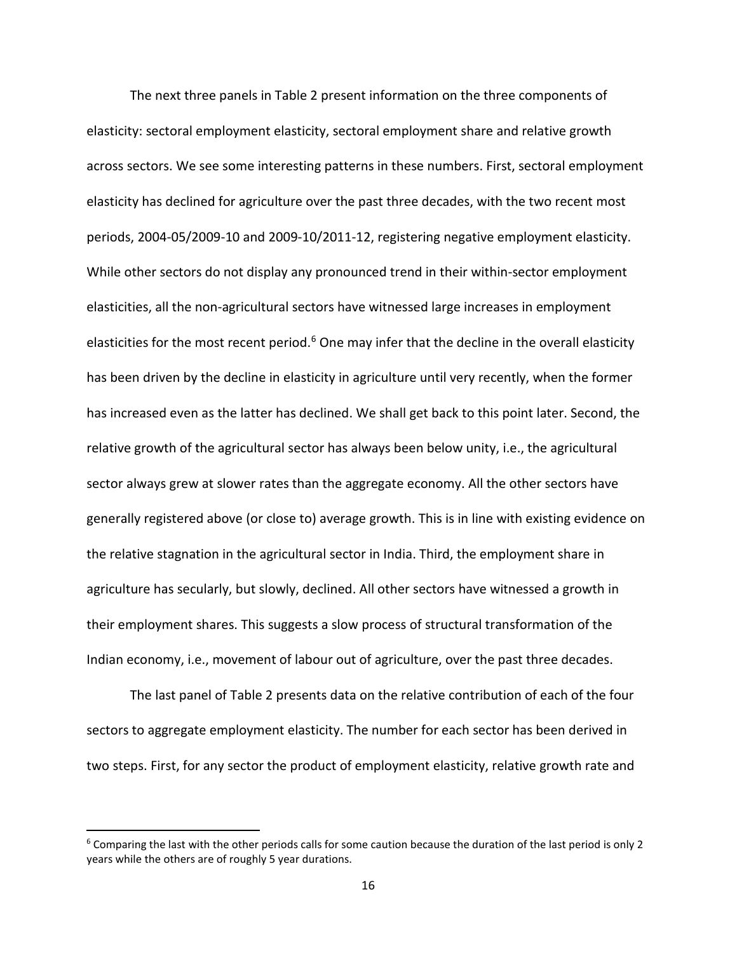The next three panels in Table 2 present information on the three components of elasticity: sectoral employment elasticity, sectoral employment share and relative growth across sectors. We see some interesting patterns in these numbers. First, sectoral employment elasticity has declined for agriculture over the past three decades, with the two recent most periods, 2004-05/2009-10 and 2009-10/2011-12, registering negative employment elasticity. While other sectors do not display any pronounced trend in their within-sector employment elasticities, all the non-agricultural sectors have witnessed large increases in employment elasticities for the most recent period.<sup>[6](#page-17-0)</sup> One may infer that the decline in the overall elasticity has been driven by the decline in elasticity in agriculture until very recently, when the former has increased even as the latter has declined. We shall get back to this point later. Second, the relative growth of the agricultural sector has always been below unity, i.e., the agricultural sector always grew at slower rates than the aggregate economy. All the other sectors have generally registered above (or close to) average growth. This is in line with existing evidence on the relative stagnation in the agricultural sector in India. Third, the employment share in agriculture has secularly, but slowly, declined. All other sectors have witnessed a growth in their employment shares. This suggests a slow process of structural transformation of the Indian economy, i.e., movement of labour out of agriculture, over the past three decades.

The last panel of Table 2 presents data on the relative contribution of each of the four sectors to aggregate employment elasticity. The number for each sector has been derived in two steps. First, for any sector the product of employment elasticity, relative growth rate and

 $\overline{\phantom{a}}$ 

<span id="page-17-0"></span> $6$  Comparing the last with the other periods calls for some caution because the duration of the last period is only 2 years while the others are of roughly 5 year durations.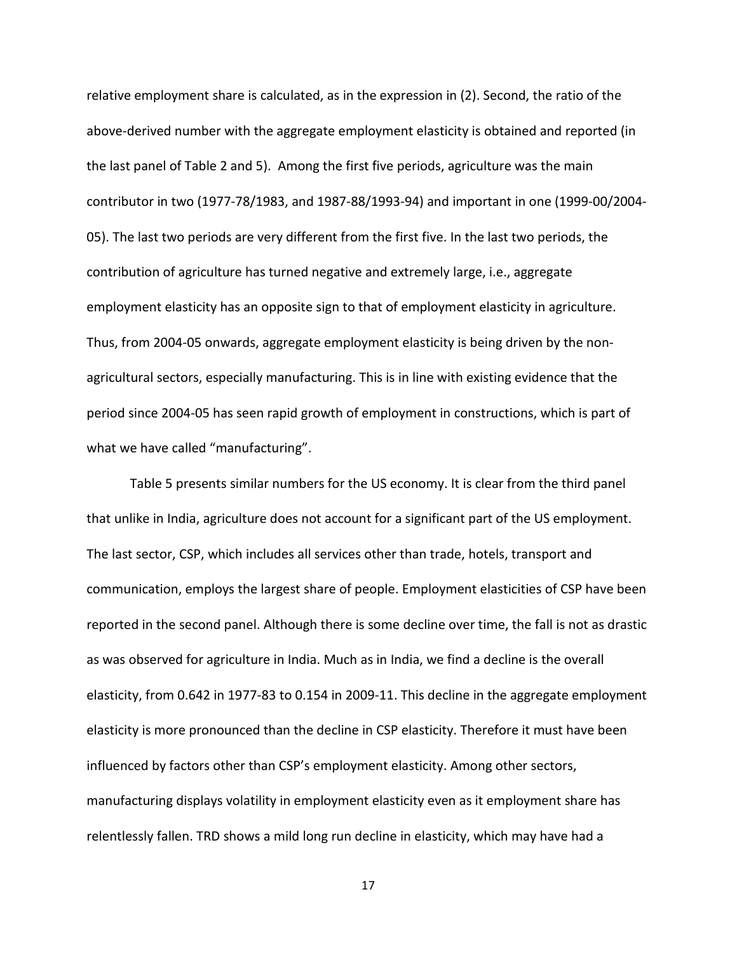relative employment share is calculated, as in the expression in (2). Second, the ratio of the above-derived number with the aggregate employment elasticity is obtained and reported (in the last panel of Table 2 and 5). Among the first five periods, agriculture was the main contributor in two (1977-78/1983, and 1987-88/1993-94) and important in one (1999-00/2004- 05). The last two periods are very different from the first five. In the last two periods, the contribution of agriculture has turned negative and extremely large, i.e., aggregate employment elasticity has an opposite sign to that of employment elasticity in agriculture. Thus, from 2004-05 onwards, aggregate employment elasticity is being driven by the nonagricultural sectors, especially manufacturing. This is in line with existing evidence that the period since 2004-05 has seen rapid growth of employment in constructions, which is part of what we have called "manufacturing".

Table 5 presents similar numbers for the US economy. It is clear from the third panel that unlike in India, agriculture does not account for a significant part of the US employment. The last sector, CSP, which includes all services other than trade, hotels, transport and communication, employs the largest share of people. Employment elasticities of CSP have been reported in the second panel. Although there is some decline over time, the fall is not as drastic as was observed for agriculture in India. Much as in India, we find a decline is the overall elasticity, from 0.642 in 1977-83 to 0.154 in 2009-11. This decline in the aggregate employment elasticity is more pronounced than the decline in CSP elasticity. Therefore it must have been influenced by factors other than CSP's employment elasticity. Among other sectors, manufacturing displays volatility in employment elasticity even as it employment share has relentlessly fallen. TRD shows a mild long run decline in elasticity, which may have had a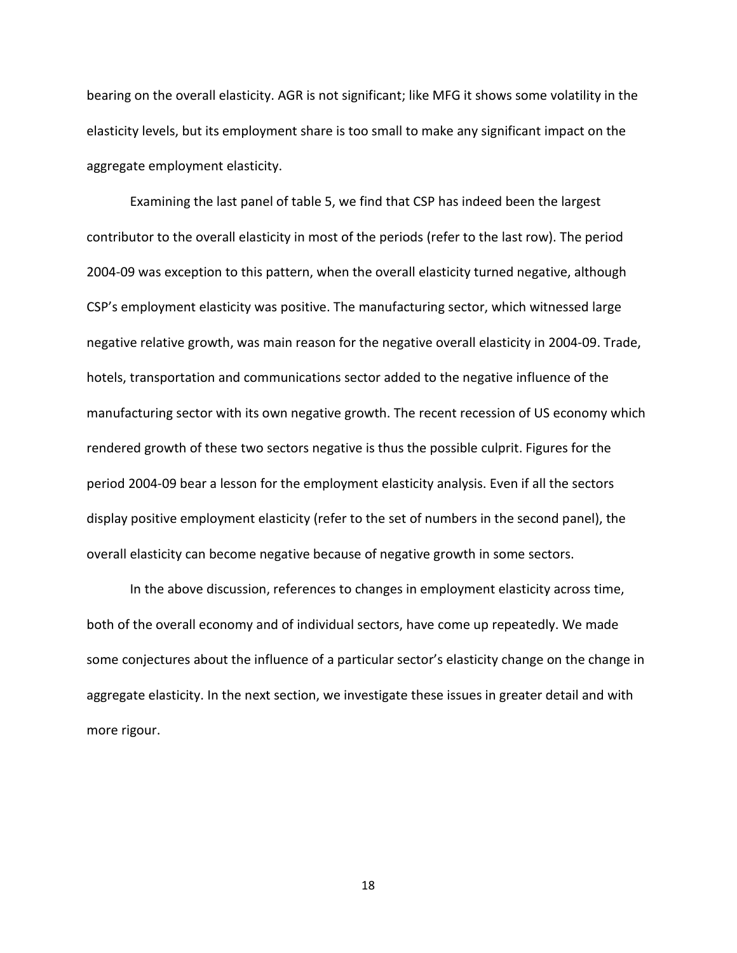bearing on the overall elasticity. AGR is not significant; like MFG it shows some volatility in the elasticity levels, but its employment share is too small to make any significant impact on the aggregate employment elasticity.

Examining the last panel of table 5, we find that CSP has indeed been the largest contributor to the overall elasticity in most of the periods (refer to the last row). The period 2004-09 was exception to this pattern, when the overall elasticity turned negative, although CSP's employment elasticity was positive. The manufacturing sector, which witnessed large negative relative growth, was main reason for the negative overall elasticity in 2004-09. Trade, hotels, transportation and communications sector added to the negative influence of the manufacturing sector with its own negative growth. The recent recession of US economy which rendered growth of these two sectors negative is thus the possible culprit. Figures for the period 2004-09 bear a lesson for the employment elasticity analysis. Even if all the sectors display positive employment elasticity (refer to the set of numbers in the second panel), the overall elasticity can become negative because of negative growth in some sectors.

In the above discussion, references to changes in employment elasticity across time, both of the overall economy and of individual sectors, have come up repeatedly. We made some conjectures about the influence of a particular sector's elasticity change on the change in aggregate elasticity. In the next section, we investigate these issues in greater detail and with more rigour.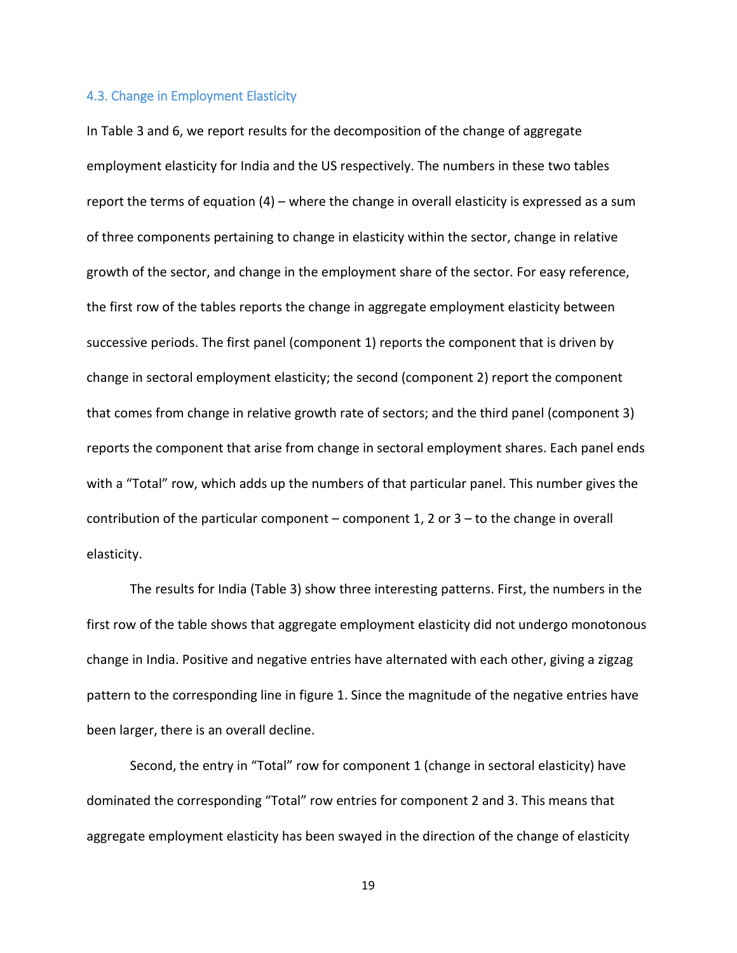#### 4.3. Change in Employment Elasticity

In Table 3 and 6, we report results for the decomposition of the change of aggregate employment elasticity for India and the US respectively. The numbers in these two tables report the terms of equation (4) – where the change in overall elasticity is expressed as a sum of three components pertaining to change in elasticity within the sector, change in relative growth of the sector, and change in the employment share of the sector. For easy reference, the first row of the tables reports the change in aggregate employment elasticity between successive periods. The first panel (component 1) reports the component that is driven by change in sectoral employment elasticity; the second (component 2) report the component that comes from change in relative growth rate of sectors; and the third panel (component 3) reports the component that arise from change in sectoral employment shares. Each panel ends with a "Total" row, which adds up the numbers of that particular panel. This number gives the contribution of the particular component – component 1, 2 or  $3 -$  to the change in overall elasticity.

The results for India (Table 3) show three interesting patterns. First, the numbers in the first row of the table shows that aggregate employment elasticity did not undergo monotonous change in India. Positive and negative entries have alternated with each other, giving a zigzag pattern to the corresponding line in figure 1. Since the magnitude of the negative entries have been larger, there is an overall decline.

Second, the entry in "Total" row for component 1 (change in sectoral elasticity) have dominated the corresponding "Total" row entries for component 2 and 3. This means that aggregate employment elasticity has been swayed in the direction of the change of elasticity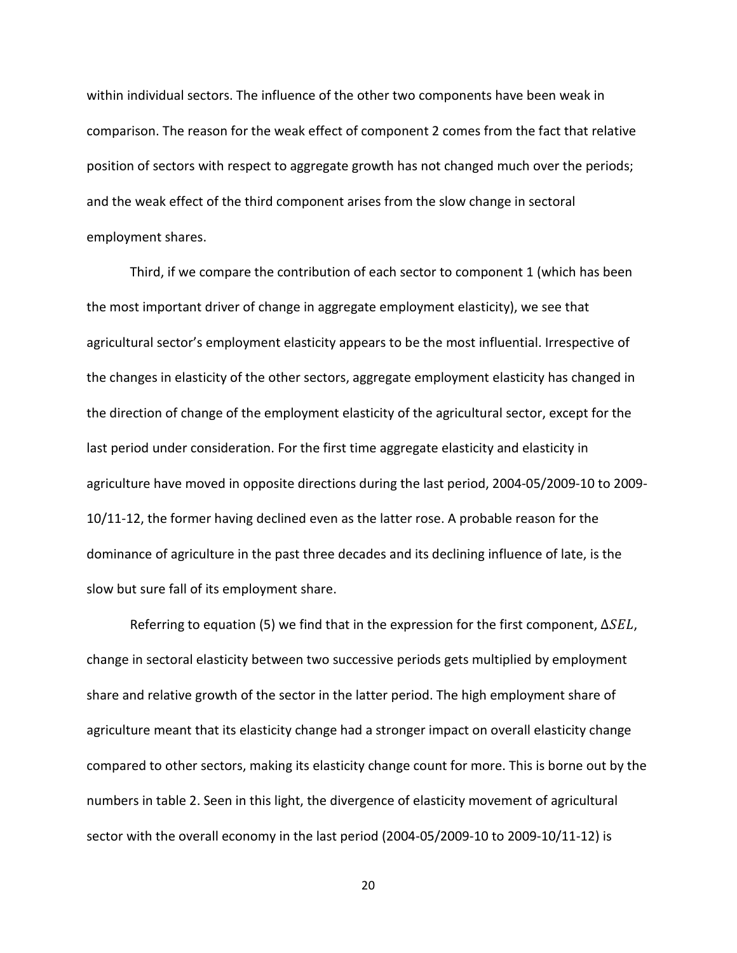within individual sectors. The influence of the other two components have been weak in comparison. The reason for the weak effect of component 2 comes from the fact that relative position of sectors with respect to aggregate growth has not changed much over the periods; and the weak effect of the third component arises from the slow change in sectoral employment shares.

Third, if we compare the contribution of each sector to component 1 (which has been the most important driver of change in aggregate employment elasticity), we see that agricultural sector's employment elasticity appears to be the most influential. Irrespective of the changes in elasticity of the other sectors, aggregate employment elasticity has changed in the direction of change of the employment elasticity of the agricultural sector, except for the last period under consideration. For the first time aggregate elasticity and elasticity in agriculture have moved in opposite directions during the last period, 2004-05/2009-10 to 2009- 10/11-12, the former having declined even as the latter rose. A probable reason for the dominance of agriculture in the past three decades and its declining influence of late, is the slow but sure fall of its employment share.

Referring to equation (5) we find that in the expression for the first component,  $\Delta SEL$ , change in sectoral elasticity between two successive periods gets multiplied by employment share and relative growth of the sector in the latter period. The high employment share of agriculture meant that its elasticity change had a stronger impact on overall elasticity change compared to other sectors, making its elasticity change count for more. This is borne out by the numbers in table 2. Seen in this light, the divergence of elasticity movement of agricultural sector with the overall economy in the last period (2004-05/2009-10 to 2009-10/11-12) is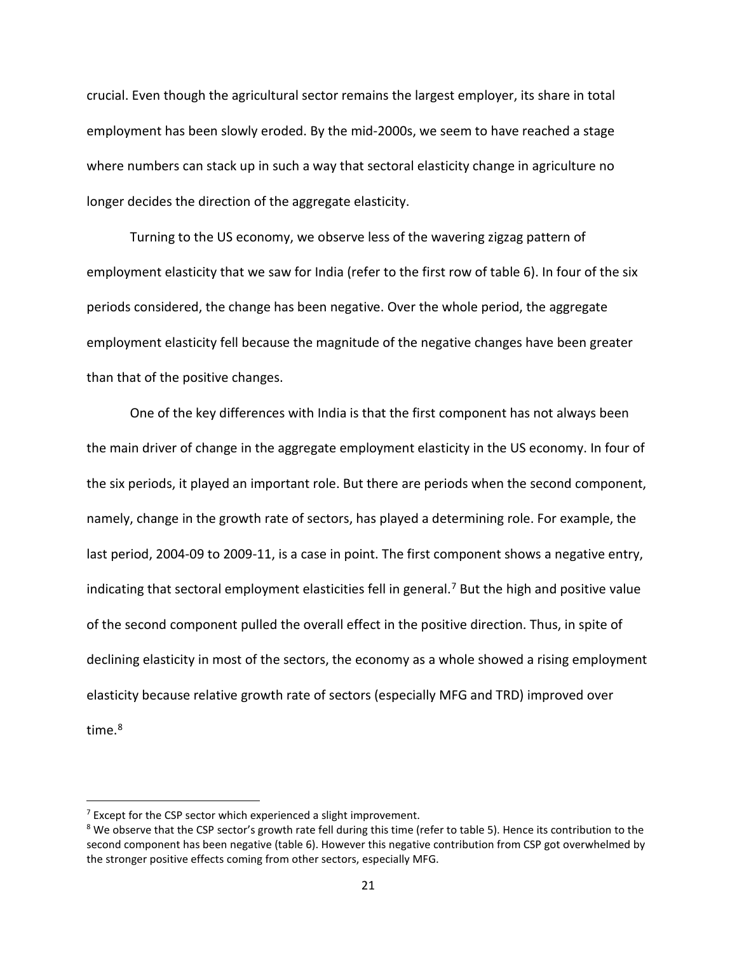crucial. Even though the agricultural sector remains the largest employer, its share in total employment has been slowly eroded. By the mid-2000s, we seem to have reached a stage where numbers can stack up in such a way that sectoral elasticity change in agriculture no longer decides the direction of the aggregate elasticity.

Turning to the US economy, we observe less of the wavering zigzag pattern of employment elasticity that we saw for India (refer to the first row of table 6). In four of the six periods considered, the change has been negative. Over the whole period, the aggregate employment elasticity fell because the magnitude of the negative changes have been greater than that of the positive changes.

One of the key differences with India is that the first component has not always been the main driver of change in the aggregate employment elasticity in the US economy. In four of the six periods, it played an important role. But there are periods when the second component, namely, change in the growth rate of sectors, has played a determining role. For example, the last period, 2004-09 to 2009-11, is a case in point. The first component shows a negative entry, indicating that sectoral employment elasticities fell in general.<sup>[7](#page-22-0)</sup> But the high and positive value of the second component pulled the overall effect in the positive direction. Thus, in spite of declining elasticity in most of the sectors, the economy as a whole showed a rising employment elasticity because relative growth rate of sectors (especially MFG and TRD) improved over time.<sup>[8](#page-22-1)</sup>

 $\overline{\phantom{a}}$ 

<span id="page-22-0"></span> $7$  Except for the CSP sector which experienced a slight improvement.

<span id="page-22-1"></span><sup>&</sup>lt;sup>8</sup> We observe that the CSP sector's growth rate fell during this time (refer to table 5). Hence its contribution to the second component has been negative (table 6). However this negative contribution from CSP got overwhelmed by the stronger positive effects coming from other sectors, especially MFG.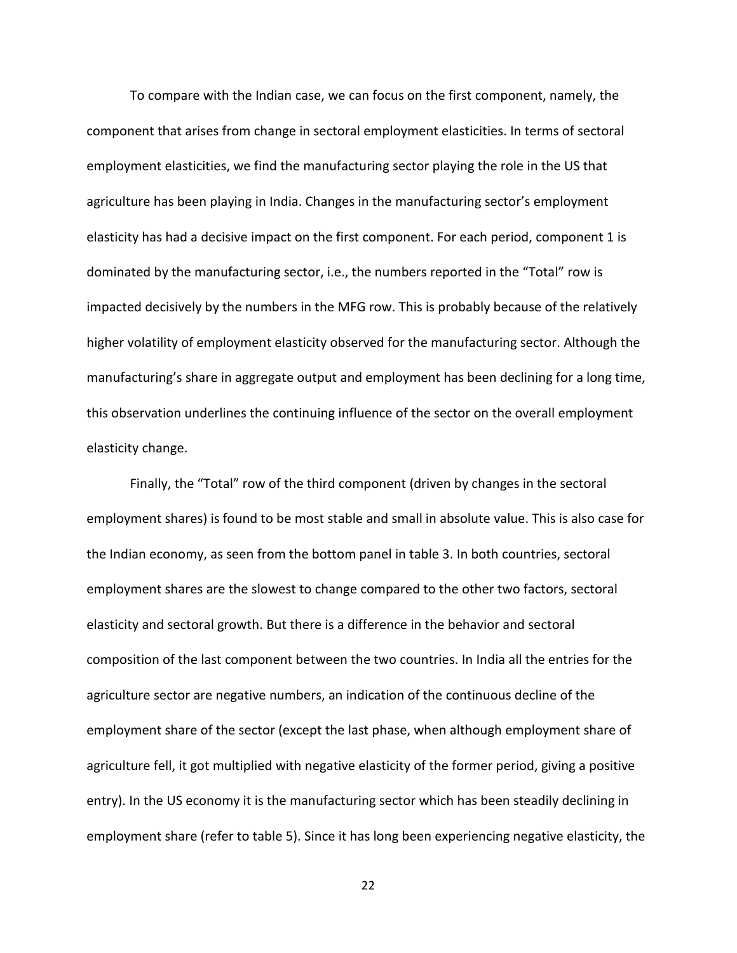To compare with the Indian case, we can focus on the first component, namely, the component that arises from change in sectoral employment elasticities. In terms of sectoral employment elasticities, we find the manufacturing sector playing the role in the US that agriculture has been playing in India. Changes in the manufacturing sector's employment elasticity has had a decisive impact on the first component. For each period, component 1 is dominated by the manufacturing sector, i.e., the numbers reported in the "Total" row is impacted decisively by the numbers in the MFG row. This is probably because of the relatively higher volatility of employment elasticity observed for the manufacturing sector. Although the manufacturing's share in aggregate output and employment has been declining for a long time, this observation underlines the continuing influence of the sector on the overall employment elasticity change.

Finally, the "Total" row of the third component (driven by changes in the sectoral employment shares) is found to be most stable and small in absolute value. This is also case for the Indian economy, as seen from the bottom panel in table 3. In both countries, sectoral employment shares are the slowest to change compared to the other two factors, sectoral elasticity and sectoral growth. But there is a difference in the behavior and sectoral composition of the last component between the two countries. In India all the entries for the agriculture sector are negative numbers, an indication of the continuous decline of the employment share of the sector (except the last phase, when although employment share of agriculture fell, it got multiplied with negative elasticity of the former period, giving a positive entry). In the US economy it is the manufacturing sector which has been steadily declining in employment share (refer to table 5). Since it has long been experiencing negative elasticity, the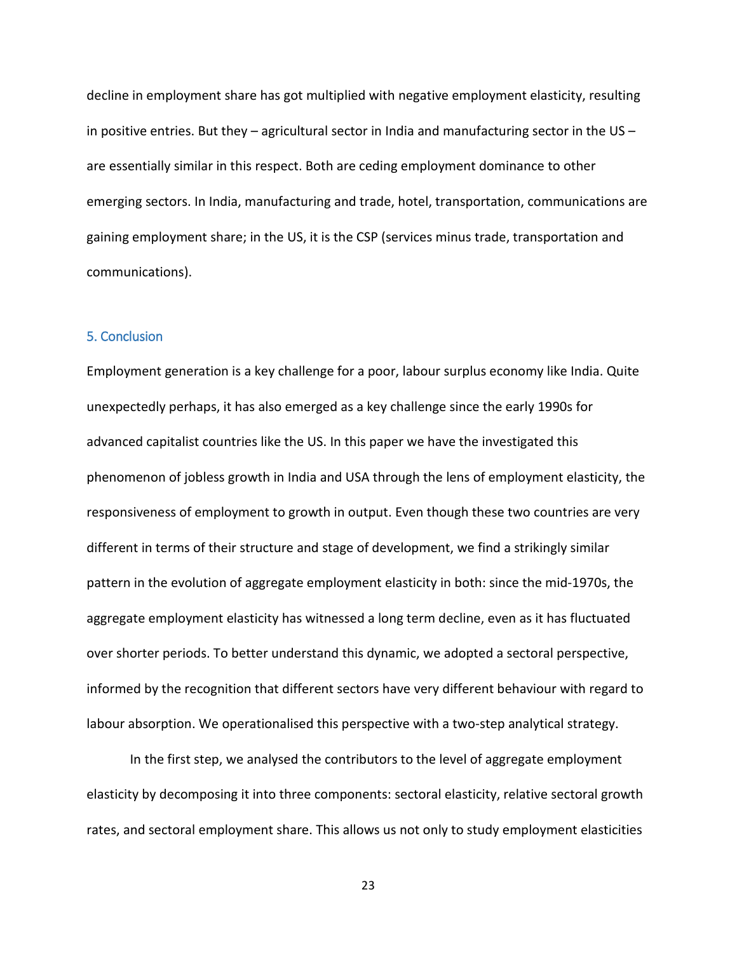decline in employment share has got multiplied with negative employment elasticity, resulting in positive entries. But they – agricultural sector in India and manufacturing sector in the US – are essentially similar in this respect. Both are ceding employment dominance to other emerging sectors. In India, manufacturing and trade, hotel, transportation, communications are gaining employment share; in the US, it is the CSP (services minus trade, transportation and communications).

#### 5. Conclusion

Employment generation is a key challenge for a poor, labour surplus economy like India. Quite unexpectedly perhaps, it has also emerged as a key challenge since the early 1990s for advanced capitalist countries like the US. In this paper we have the investigated this phenomenon of jobless growth in India and USA through the lens of employment elasticity, the responsiveness of employment to growth in output. Even though these two countries are very different in terms of their structure and stage of development, we find a strikingly similar pattern in the evolution of aggregate employment elasticity in both: since the mid-1970s, the aggregate employment elasticity has witnessed a long term decline, even as it has fluctuated over shorter periods. To better understand this dynamic, we adopted a sectoral perspective, informed by the recognition that different sectors have very different behaviour with regard to labour absorption. We operationalised this perspective with a two-step analytical strategy.

In the first step, we analysed the contributors to the level of aggregate employment elasticity by decomposing it into three components: sectoral elasticity, relative sectoral growth rates, and sectoral employment share. This allows us not only to study employment elasticities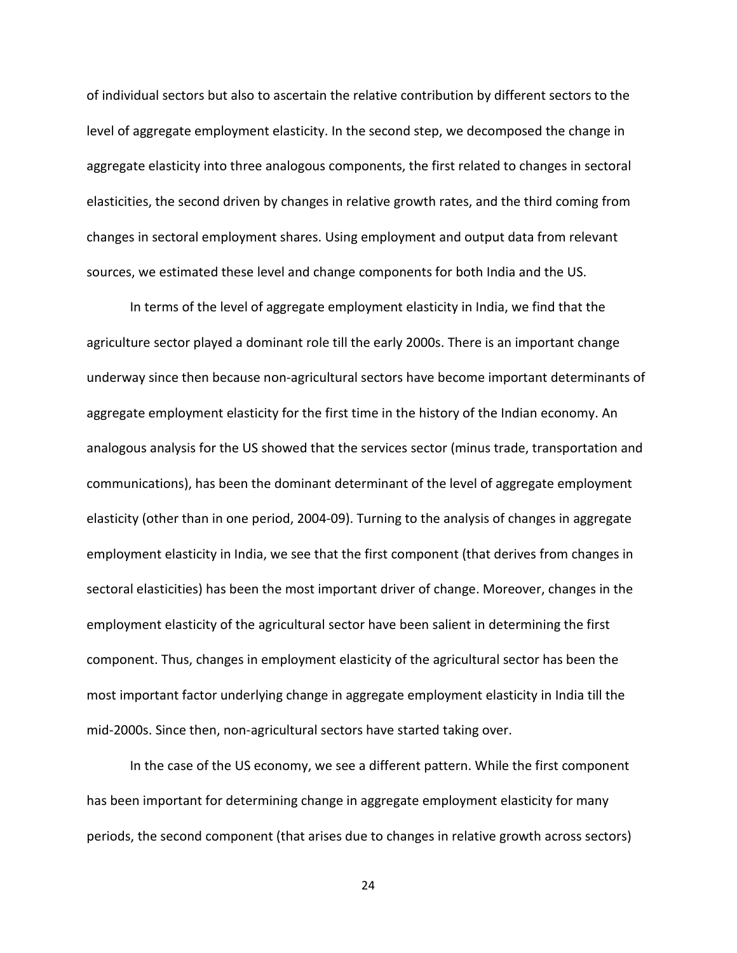of individual sectors but also to ascertain the relative contribution by different sectors to the level of aggregate employment elasticity. In the second step, we decomposed the change in aggregate elasticity into three analogous components, the first related to changes in sectoral elasticities, the second driven by changes in relative growth rates, and the third coming from changes in sectoral employment shares. Using employment and output data from relevant sources, we estimated these level and change components for both India and the US.

In terms of the level of aggregate employment elasticity in India, we find that the agriculture sector played a dominant role till the early 2000s. There is an important change underway since then because non-agricultural sectors have become important determinants of aggregate employment elasticity for the first time in the history of the Indian economy. An analogous analysis for the US showed that the services sector (minus trade, transportation and communications), has been the dominant determinant of the level of aggregate employment elasticity (other than in one period, 2004-09). Turning to the analysis of changes in aggregate employment elasticity in India, we see that the first component (that derives from changes in sectoral elasticities) has been the most important driver of change. Moreover, changes in the employment elasticity of the agricultural sector have been salient in determining the first component. Thus, changes in employment elasticity of the agricultural sector has been the most important factor underlying change in aggregate employment elasticity in India till the mid-2000s. Since then, non-agricultural sectors have started taking over.

In the case of the US economy, we see a different pattern. While the first component has been important for determining change in aggregate employment elasticity for many periods, the second component (that arises due to changes in relative growth across sectors)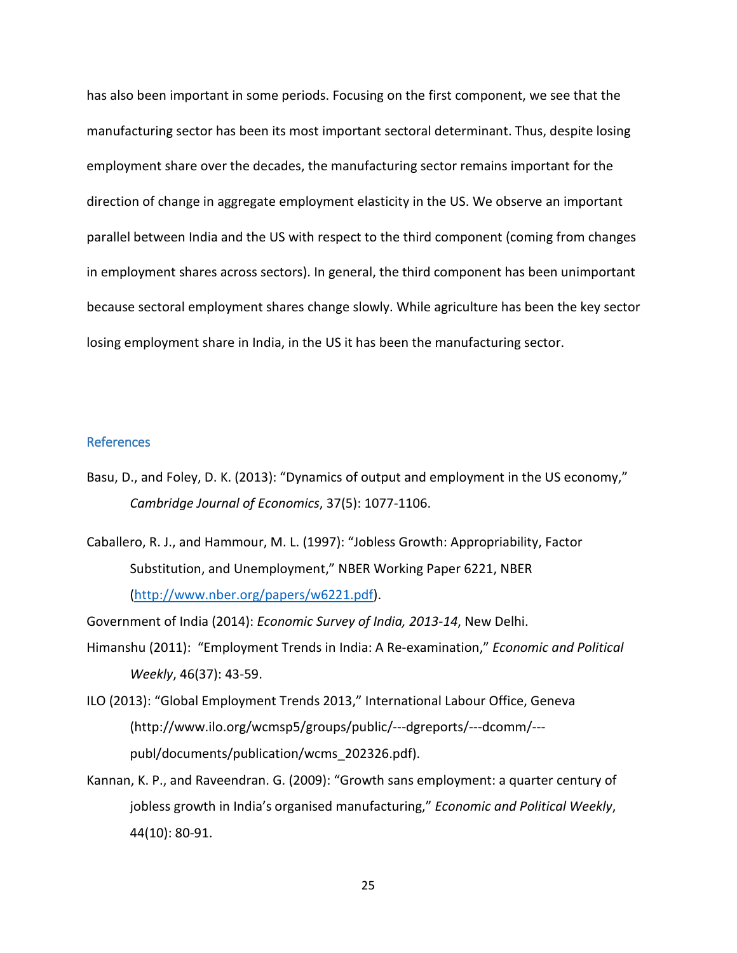has also been important in some periods. Focusing on the first component, we see that the manufacturing sector has been its most important sectoral determinant. Thus, despite losing employment share over the decades, the manufacturing sector remains important for the direction of change in aggregate employment elasticity in the US. We observe an important parallel between India and the US with respect to the third component (coming from changes in employment shares across sectors). In general, the third component has been unimportant because sectoral employment shares change slowly. While agriculture has been the key sector losing employment share in India, in the US it has been the manufacturing sector.

#### References

- Basu, D., and Foley, D. K. (2013): "Dynamics of output and employment in the US economy," *Cambridge Journal of Economics*, 37(5): 1077-1106.
- Caballero, R. J., and Hammour, M. L. (1997): "Jobless Growth: Appropriability, Factor Substitution, and Unemployment," NBER Working Paper 6221, NBER [\(http://www.nber.org/papers/w6221.pdf\)](http://www.nber.org/papers/w6221.pdf).

Government of India (2014): *Economic Survey of India, 2013-14*, New Delhi.

- Himanshu (2011): "Employment Trends in India: A Re-examination," *Economic and Political Weekly*, 46(37): 43-59.
- ILO (2013): "Global Employment Trends 2013," International Labour Office, Geneva (http://www.ilo.org/wcmsp5/groups/public/---dgreports/---dcomm/-- publ/documents/publication/wcms\_202326.pdf).
- Kannan, K. P., and Raveendran. G. (2009): "Growth sans employment: a quarter century of jobless growth in India's organised manufacturing," *Economic and Political Weekly*, 44(10): 80-91.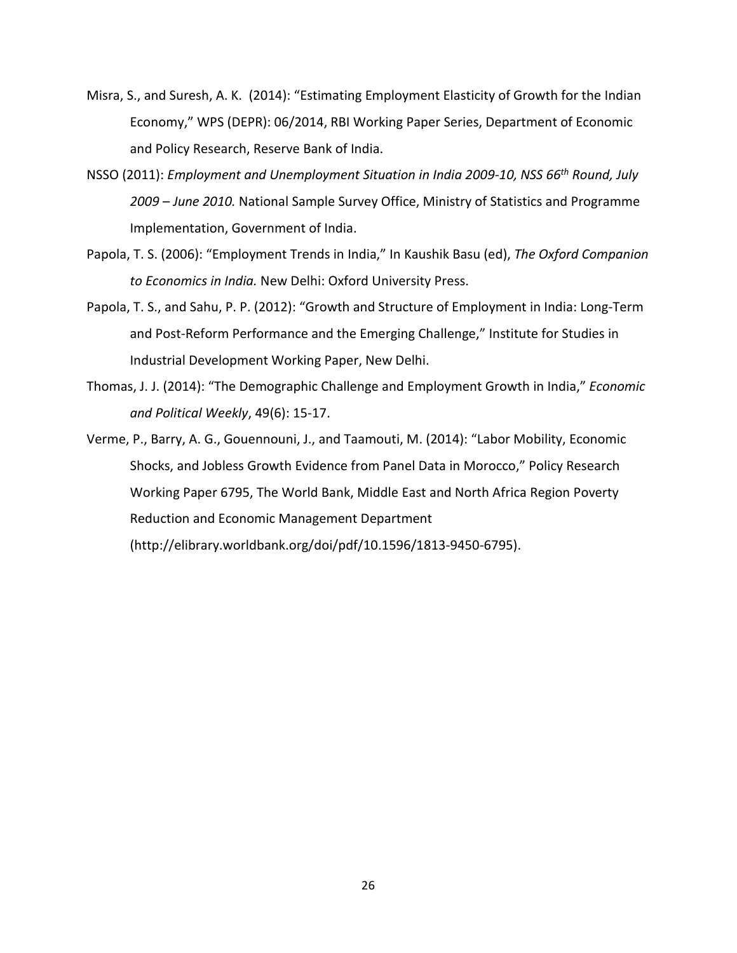- Misra, S., and Suresh, A. K. (2014): "Estimating Employment Elasticity of Growth for the Indian Economy," WPS (DEPR): 06/2014, RBI Working Paper Series, Department of Economic and Policy Research, Reserve Bank of India.
- NSSO (2011): *Employment and Unemployment Situation in India 2009-10, NSS 66th Round, July 2009 – June 2010.* National Sample Survey Office, Ministry of Statistics and Programme Implementation, Government of India.
- Papola, T. S. (2006): "Employment Trends in India," In Kaushik Basu (ed), *The Oxford Companion to Economics in India.* New Delhi: Oxford University Press.
- Papola, T. S., and Sahu, P. P. (2012): "Growth and Structure of Employment in India: Long-Term and Post-Reform Performance and the Emerging Challenge," Institute for Studies in Industrial Development Working Paper, New Delhi.
- Thomas, J. J. (2014): "The Demographic Challenge and Employment Growth in India," *Economic and Political Weekly*, 49(6): 15-17.
- Verme, P., Barry, A. G., Gouennouni, J., and Taamouti, M. (2014): "Labor Mobility, Economic Shocks, and Jobless Growth Evidence from Panel Data in Morocco," Policy Research Working Paper 6795, The World Bank, Middle East and North Africa Region Poverty Reduction and Economic Management Department

(http://elibrary.worldbank.org/doi/pdf/10.1596/1813-9450-6795).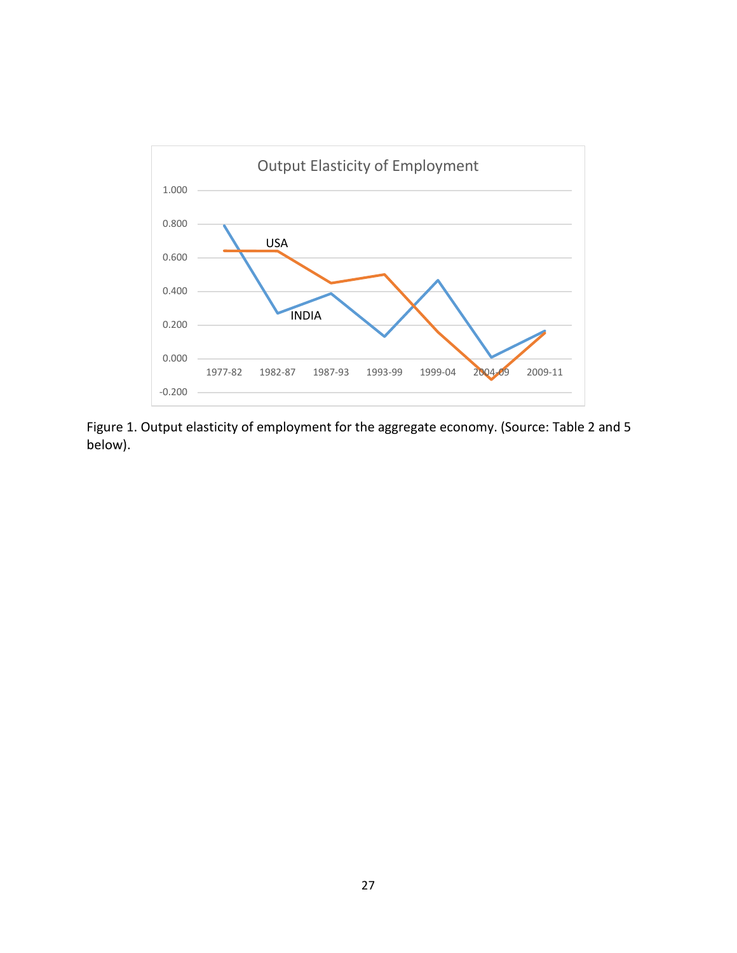

Figure 1. Output elasticity of employment for the aggregate economy. (Source: Table 2 and 5 below).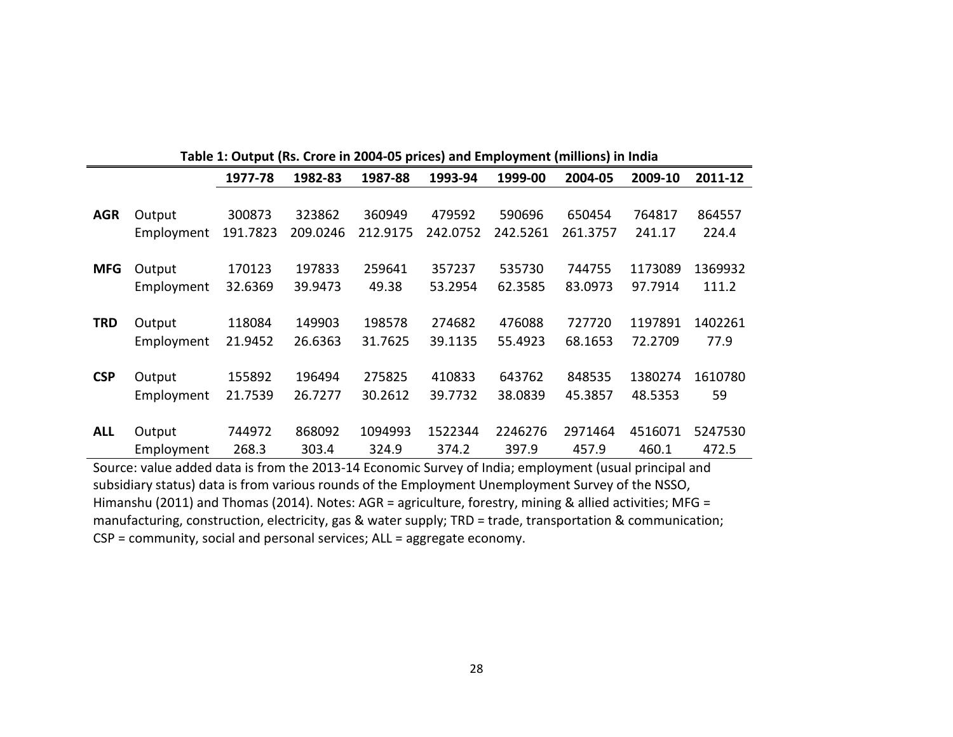|            | Table 1: Output (Rs. Crore in 2004-05 prices) and Employment (millions) in India |          |                    |          |                    |          |          |         |         |  |  |  |
|------------|----------------------------------------------------------------------------------|----------|--------------------|----------|--------------------|----------|----------|---------|---------|--|--|--|
|            |                                                                                  | 1977-78  | 1982-83<br>1987-88 |          | 1993-94<br>1999-00 |          | 2004-05  | 2009-10 | 2011-12 |  |  |  |
|            |                                                                                  |          |                    |          |                    |          |          |         |         |  |  |  |
| <b>AGR</b> | Output                                                                           | 300873   | 323862             | 360949   | 479592             | 590696   | 650454   | 764817  | 864557  |  |  |  |
|            | Employment                                                                       | 191.7823 | 209.0246           | 212.9175 | 242.0752           | 242.5261 | 261.3757 | 241.17  | 224.4   |  |  |  |
|            |                                                                                  |          |                    |          |                    |          |          |         |         |  |  |  |
| <b>MFG</b> | Output                                                                           | 170123   | 197833             | 259641   | 357237             | 535730   | 744755   | 1173089 | 1369932 |  |  |  |
|            | Employment                                                                       | 32.6369  | 39.9473            | 49.38    | 53.2954            | 62.3585  | 83.0973  | 97.7914 | 111.2   |  |  |  |
|            |                                                                                  |          |                    |          |                    |          |          |         |         |  |  |  |
| <b>TRD</b> | Output                                                                           | 118084   | 149903             | 198578   | 274682             | 476088   | 727720   | 1197891 | 1402261 |  |  |  |
|            | Employment                                                                       | 21.9452  | 26.6363            | 31.7625  | 39.1135            | 55.4923  | 68.1653  | 72.2709 | 77.9    |  |  |  |
|            |                                                                                  |          |                    |          |                    |          |          |         |         |  |  |  |
| <b>CSP</b> | Output                                                                           | 155892   | 196494             | 275825   | 410833             | 643762   | 848535   | 1380274 | 1610780 |  |  |  |
|            | Employment                                                                       | 21.7539  | 26.7277            | 30.2612  | 39.7732            | 38.0839  | 45.3857  | 48.5353 | 59      |  |  |  |
|            |                                                                                  |          |                    |          |                    |          |          |         |         |  |  |  |
| <b>ALL</b> | Output                                                                           | 744972   | 868092             | 1094993  | 1522344            | 2246276  | 2971464  | 4516071 | 5247530 |  |  |  |
|            | Employment                                                                       | 268.3    | 303.4              | 324.9    | 374.2              | 397.9    | 457.9    | 460.1   | 472.5   |  |  |  |

Source: value added data is from the 2013-14 Economic Survey of India; employment (usual principal and subsidiary status) data is from various rounds of the Employment Unemployment Survey of the NSSO, Himanshu (2011) and Thomas (2014). Notes: AGR = agriculture, forestry, mining & allied activities; MFG = manufacturing, construction, electricity, gas & water supply; TRD = trade, transportation & communication; CSP = community, social and personal services; ALL = aggregate economy.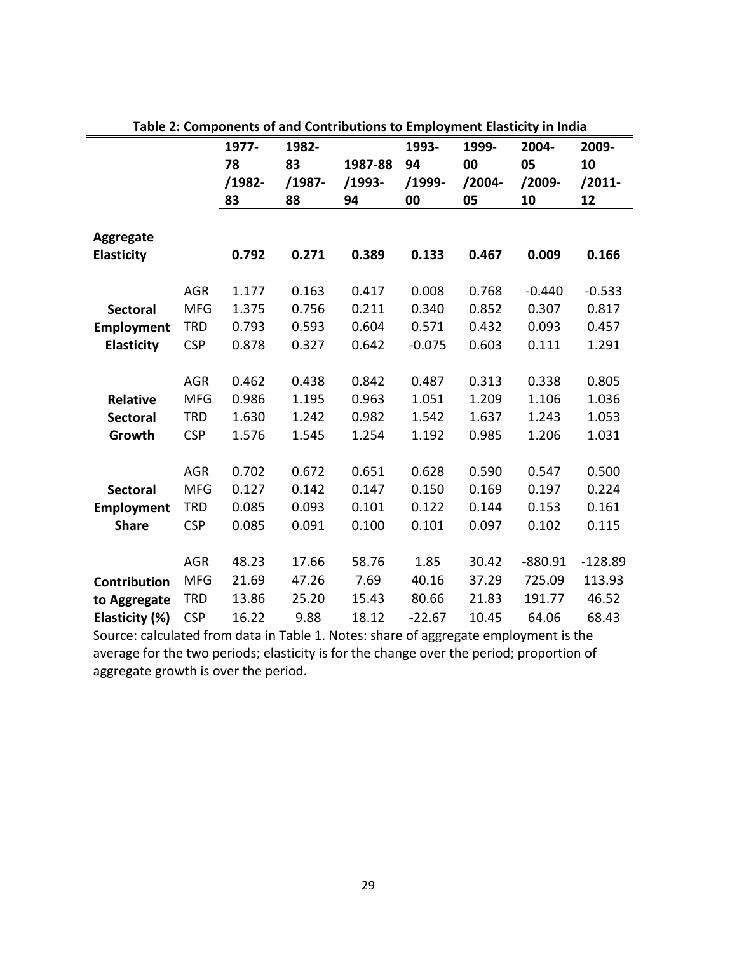|                   |            | 1977-  | 1982-  |          | 1993-    | 1999-     | 2004-     | 2009-     |
|-------------------|------------|--------|--------|----------|----------|-----------|-----------|-----------|
|                   |            | 78     | 83     | 1987-88  | 94       | 00        | 05        | 10        |
|                   |            | /1982- | /1987- | $/1993-$ | $/1999-$ | $/2004 -$ | $/2009 -$ | $/2011-$  |
|                   |            | 83     | 88     | 94       | 00       | 05        | 10        | 12        |
|                   |            |        |        |          |          |           |           |           |
| <b>Aggregate</b>  |            |        |        |          |          |           |           |           |
| <b>Elasticity</b> |            | 0.792  | 0.271  | 0.389    | 0.133    | 0.467     | 0.009     | 0.166     |
|                   | <b>AGR</b> | 1.177  | 0.163  | 0.417    | 0.008    | 0.768     | $-0.440$  | $-0.533$  |
| <b>Sectoral</b>   | <b>MFG</b> | 1.375  | 0.756  | 0.211    | 0.340    | 0.852     | 0.307     | 0.817     |
| <b>Employment</b> | <b>TRD</b> | 0.793  | 0.593  | 0.604    | 0.571    | 0.432     | 0.093     | 0.457     |
| <b>Elasticity</b> | <b>CSP</b> | 0.878  | 0.327  | 0.642    | $-0.075$ | 0.603     | 0.111     | 1.291     |
|                   |            |        |        |          |          |           |           |           |
|                   | <b>AGR</b> | 0.462  | 0.438  | 0.842    | 0.487    | 0.313     | 0.338     | 0.805     |
| <b>Relative</b>   | <b>MFG</b> | 0.986  | 1.195  | 0.963    | 1.051    | 1.209     | 1.106     | 1.036     |
| <b>Sectoral</b>   | <b>TRD</b> | 1.630  | 1.242  | 0.982    | 1.542    | 1.637     | 1.243     | 1.053     |
| Growth            | <b>CSP</b> | 1.576  | 1.545  | 1.254    | 1.192    | 0.985     | 1.206     | 1.031     |
|                   |            |        |        |          |          |           |           |           |
|                   | <b>AGR</b> | 0.702  | 0.672  | 0.651    | 0.628    | 0.590     | 0.547     | 0.500     |
| <b>Sectoral</b>   | <b>MFG</b> | 0.127  | 0.142  | 0.147    | 0.150    | 0.169     | 0.197     | 0.224     |
| <b>Employment</b> | <b>TRD</b> | 0.085  | 0.093  | 0.101    | 0.122    | 0.144     | 0.153     | 0.161     |
| <b>Share</b>      | <b>CSP</b> | 0.085  | 0.091  | 0.100    | 0.101    | 0.097     | 0.102     | 0.115     |
|                   |            |        |        |          |          |           |           |           |
|                   | <b>AGR</b> | 48.23  | 17.66  | 58.76    | 1.85     | 30.42     | $-880.91$ | $-128.89$ |
| Contribution      | <b>MFG</b> | 21.69  | 47.26  | 7.69     | 40.16    | 37.29     | 725.09    | 113.93    |
| to Aggregate      | <b>TRD</b> | 13.86  | 25.20  | 15.43    | 80.66    | 21.83     | 191.77    | 46.52     |
| Elasticity (%)    | <b>CSP</b> | 16.22  | 9.88   | 18.12    | $-22.67$ | 10.45     | 64.06     | 68.43     |

Source: calculated from data in Table 1. Notes: share of aggregate employment is the average for the two periods; elasticity is for the change over the period; proportion of aggregate growth is over the period.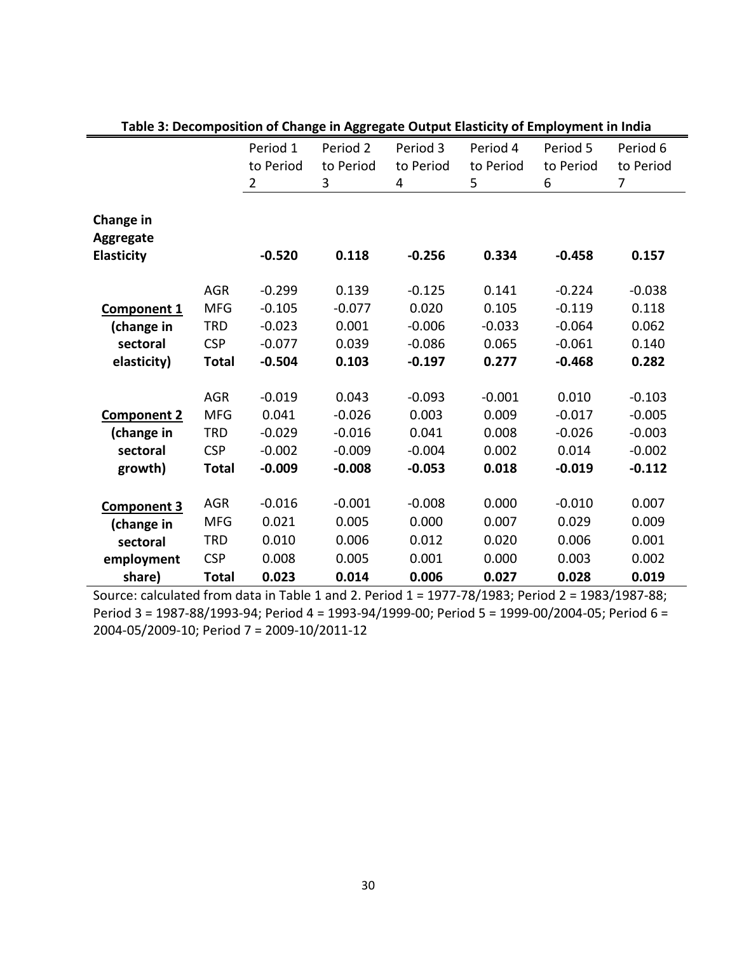|                    |              | Period 1       | ס- יססי י יי -סי<br>Period 2 | Period 3  | Period 4  | Period 5  | Period 6  |
|--------------------|--------------|----------------|------------------------------|-----------|-----------|-----------|-----------|
|                    |              | to Period      | to Period                    | to Period | to Period | to Period | to Period |
|                    |              | $\overline{2}$ | 3                            | 4         | 5         | 6         | 7         |
|                    |              |                |                              |           |           |           |           |
| Change in          |              |                |                              |           |           |           |           |
| Aggregate          |              |                |                              |           |           |           |           |
| <b>Elasticity</b>  |              | $-0.520$       | 0.118                        | $-0.256$  | 0.334     | $-0.458$  | 0.157     |
|                    |              |                |                              |           |           |           |           |
|                    | <b>AGR</b>   | $-0.299$       | 0.139                        | $-0.125$  | 0.141     | $-0.224$  | $-0.038$  |
| <b>Component 1</b> | <b>MFG</b>   | $-0.105$       | $-0.077$                     | 0.020     | 0.105     | $-0.119$  | 0.118     |
| (change in         | <b>TRD</b>   | $-0.023$       | 0.001                        | $-0.006$  | $-0.033$  | $-0.064$  | 0.062     |
| sectoral           | <b>CSP</b>   | $-0.077$       | 0.039                        | $-0.086$  | 0.065     | $-0.061$  | 0.140     |
| elasticity)        | <b>Total</b> | $-0.504$       | 0.103                        | $-0.197$  | 0.277     | $-0.468$  | 0.282     |
|                    |              |                |                              |           |           |           |           |
|                    | <b>AGR</b>   | $-0.019$       | 0.043                        | $-0.093$  | $-0.001$  | 0.010     | $-0.103$  |
| <b>Component 2</b> | <b>MFG</b>   | 0.041          | $-0.026$                     | 0.003     | 0.009     | $-0.017$  | $-0.005$  |
| (change in         | TRD          | $-0.029$       | $-0.016$                     | 0.041     | 0.008     | $-0.026$  | $-0.003$  |
| sectoral           | <b>CSP</b>   | $-0.002$       | $-0.009$                     | $-0.004$  | 0.002     | 0.014     | $-0.002$  |
| growth)            | <b>Total</b> | $-0.009$       | $-0.008$                     | $-0.053$  | 0.018     | $-0.019$  | $-0.112$  |
|                    |              |                |                              |           |           |           |           |
| Component 3        | <b>AGR</b>   | $-0.016$       | $-0.001$                     | $-0.008$  | 0.000     | $-0.010$  | 0.007     |
| (change in         | <b>MFG</b>   | 0.021          | 0.005                        | 0.000     | 0.007     | 0.029     | 0.009     |
| sectoral           | <b>TRD</b>   | 0.010          | 0.006                        | 0.012     | 0.020     | 0.006     | 0.001     |
| employment         | <b>CSP</b>   | 0.008          | 0.005                        | 0.001     | 0.000     | 0.003     | 0.002     |
| share)             | <b>Total</b> | 0.023          | 0.014                        | 0.006     | 0.027     | 0.028     | 0.019     |

**Table 3: Decomposition of Change in Aggregate Output Elasticity of Employment in India**

Source: calculated from data in Table 1 and 2. Period 1 = 1977-78/1983; Period 2 = 1983/1987-88; Period 3 = 1987-88/1993-94; Period 4 = 1993-94/1999-00; Period 5 = 1999-00/2004-05; Period 6 = 2004-05/2009-10; Period 7 = 2009-10/2011-12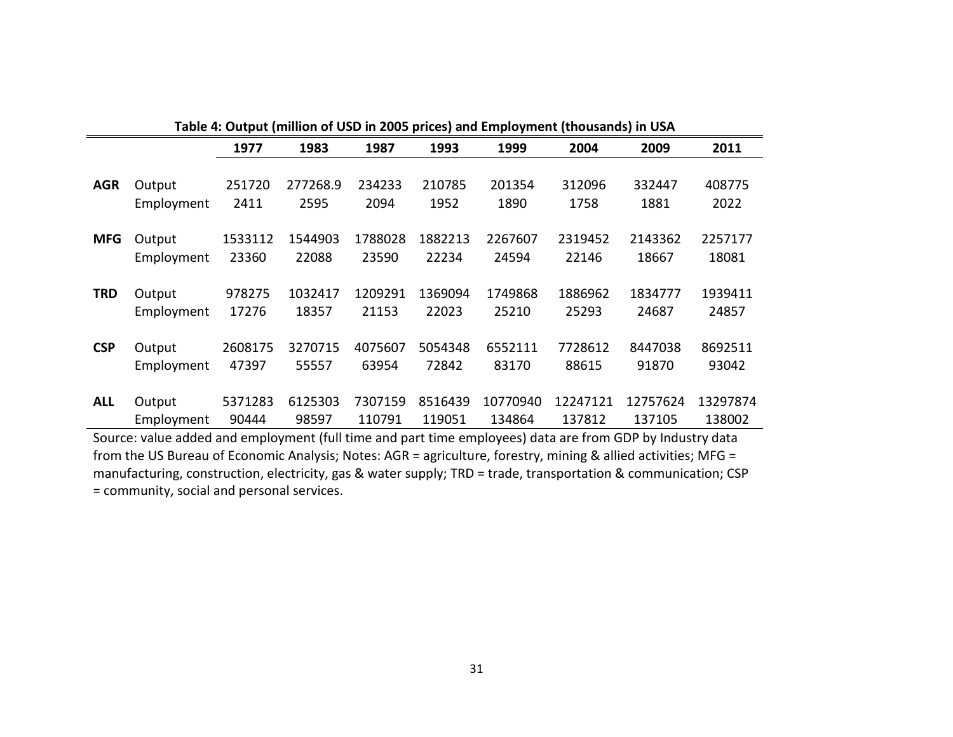|            | Table 4: Output (million of USD in 2005 prices) and Employment (thousands) in USA |         |          |         |         |          |          |          |          |  |  |
|------------|-----------------------------------------------------------------------------------|---------|----------|---------|---------|----------|----------|----------|----------|--|--|
|            |                                                                                   | 1977    | 1983     | 1987    | 1993    | 1999     | 2004     | 2009     | 2011     |  |  |
|            |                                                                                   |         |          |         |         |          |          |          |          |  |  |
| <b>AGR</b> | Output                                                                            | 251720  | 277268.9 | 234233  | 210785  | 201354   | 312096   | 332447   | 408775   |  |  |
|            | Employment                                                                        | 2411    | 2595     | 2094    | 1952    | 1890     | 1758     | 1881     | 2022     |  |  |
|            |                                                                                   |         |          |         |         |          |          |          |          |  |  |
| <b>MFG</b> | Output                                                                            | 1533112 | 1544903  | 1788028 | 1882213 | 2267607  | 2319452  | 2143362  | 2257177  |  |  |
|            | Employment                                                                        | 23360   | 22088    | 23590   | 22234   | 24594    | 22146    | 18667    | 18081    |  |  |
| <b>TRD</b> | Output                                                                            | 978275  | 1032417  | 1209291 | 1369094 | 1749868  | 1886962  | 1834777  | 1939411  |  |  |
|            |                                                                                   |         |          |         |         |          |          |          |          |  |  |
|            | Employment                                                                        | 17276   | 18357    | 21153   | 22023   | 25210    | 25293    | 24687    | 24857    |  |  |
| <b>CSP</b> | Output                                                                            | 2608175 | 3270715  | 4075607 | 5054348 | 6552111  | 7728612  | 8447038  | 8692511  |  |  |
|            | Employment                                                                        | 47397   | 55557    | 63954   | 72842   | 83170    | 88615    | 91870    | 93042    |  |  |
|            |                                                                                   |         |          |         |         |          |          |          |          |  |  |
| <b>ALL</b> | Output                                                                            | 5371283 | 6125303  | 7307159 | 8516439 | 10770940 | 12247121 | 12757624 | 13297874 |  |  |
|            | Employment                                                                        | 90444   | 98597    | 110791  | 119051  | 134864   | 137812   | 137105   | 138002   |  |  |

Source: value added and employment (full time and part time employees) data are from GDP by Industry data from the US Bureau of Economic Analysis; Notes: AGR = agriculture, forestry, mining & allied activities; MFG = manufacturing, construction, electricity, gas & water supply; TRD = trade, transportation & communication; CSP = community, social and personal services.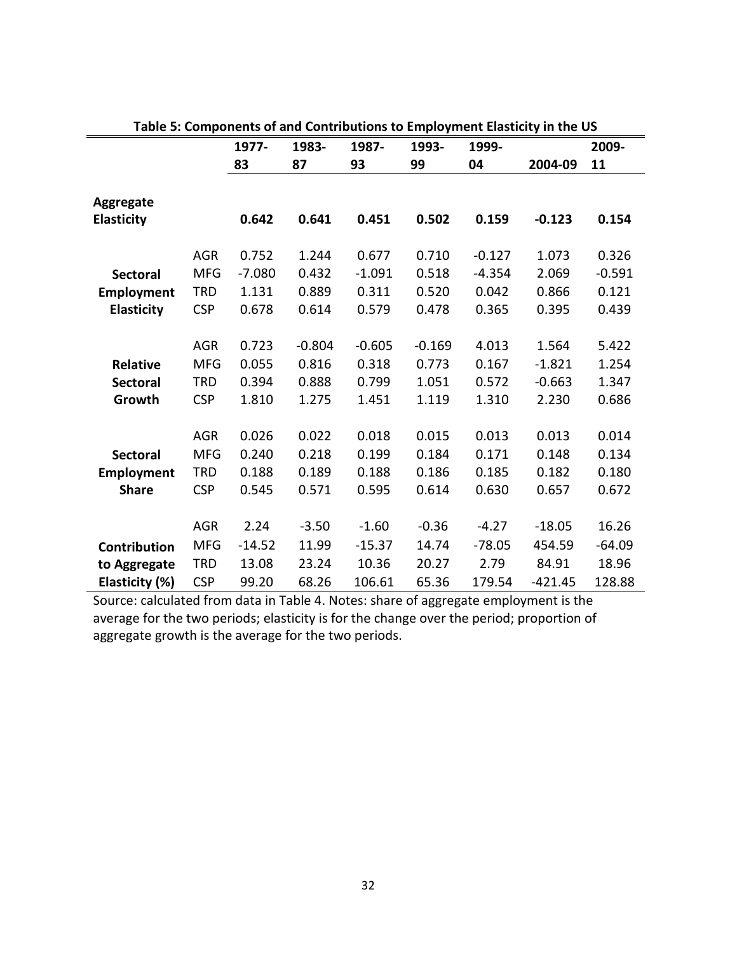|                     |            | 1977-    | 1983-    | 1987-    | 1993-    | 1999-    | rapic 5. Components or and contributions to Employment Elasticity in the OS | 2009-    |
|---------------------|------------|----------|----------|----------|----------|----------|-----------------------------------------------------------------------------|----------|
|                     |            |          |          |          |          |          |                                                                             |          |
|                     |            | 83       | 87       | 93       | 99       | 04       | 2004-09                                                                     | 11       |
|                     |            |          |          |          |          |          |                                                                             |          |
| Aggregate           |            |          |          |          |          |          |                                                                             |          |
| <b>Elasticity</b>   |            | 0.642    | 0.641    | 0.451    | 0.502    | 0.159    | $-0.123$                                                                    | 0.154    |
|                     |            |          |          |          |          |          |                                                                             |          |
|                     | <b>AGR</b> | 0.752    | 1.244    | 0.677    | 0.710    | $-0.127$ | 1.073                                                                       | 0.326    |
| <b>Sectoral</b>     | <b>MFG</b> | $-7.080$ | 0.432    | $-1.091$ | 0.518    | $-4.354$ | 2.069                                                                       | $-0.591$ |
| <b>Employment</b>   | <b>TRD</b> | 1.131    | 0.889    | 0.311    | 0.520    | 0.042    | 0.866                                                                       | 0.121    |
| <b>Elasticity</b>   | <b>CSP</b> | 0.678    | 0.614    | 0.579    | 0.478    | 0.365    | 0.395                                                                       | 0.439    |
|                     |            |          |          |          |          |          |                                                                             |          |
|                     | <b>AGR</b> | 0.723    | $-0.804$ | $-0.605$ | $-0.169$ | 4.013    | 1.564                                                                       | 5.422    |
| <b>Relative</b>     | <b>MFG</b> | 0.055    | 0.816    | 0.318    | 0.773    | 0.167    | $-1.821$                                                                    | 1.254    |
| <b>Sectoral</b>     | <b>TRD</b> | 0.394    | 0.888    | 0.799    | 1.051    | 0.572    | $-0.663$                                                                    | 1.347    |
| Growth              | <b>CSP</b> | 1.810    | 1.275    | 1.451    | 1.119    | 1.310    | 2.230                                                                       | 0.686    |
|                     |            |          |          |          |          |          |                                                                             |          |
|                     | <b>AGR</b> | 0.026    | 0.022    | 0.018    | 0.015    | 0.013    | 0.013                                                                       | 0.014    |
| <b>Sectoral</b>     | <b>MFG</b> | 0.240    | 0.218    | 0.199    | 0.184    | 0.171    | 0.148                                                                       | 0.134    |
|                     | <b>TRD</b> | 0.188    | 0.189    | 0.188    | 0.186    | 0.185    | 0.182                                                                       | 0.180    |
| <b>Employment</b>   |            |          |          |          |          |          |                                                                             |          |
| <b>Share</b>        | <b>CSP</b> | 0.545    | 0.571    | 0.595    | 0.614    | 0.630    | 0.657                                                                       | 0.672    |
|                     |            |          |          |          |          |          |                                                                             |          |
|                     | <b>AGR</b> | 2.24     | $-3.50$  | $-1.60$  | $-0.36$  | $-4.27$  | $-18.05$                                                                    | 16.26    |
| <b>Contribution</b> | <b>MFG</b> | $-14.52$ | 11.99    | $-15.37$ | 14.74    | $-78.05$ | 454.59                                                                      | $-64.09$ |
| to Aggregate        | <b>TRD</b> | 13.08    | 23.24    | 10.36    | 20.27    | 2.79     | 84.91                                                                       | 18.96    |
| Elasticity (%)      | <b>CSP</b> | 99.20    | 68.26    | 106.61   | 65.36    | 179.54   | $-421.45$                                                                   | 128.88   |

Source: calculated from data in Table 4. Notes: share of aggregate employment is the average for the two periods; elasticity is for the change over the period; proportion of aggregate growth is the average for the two periods.